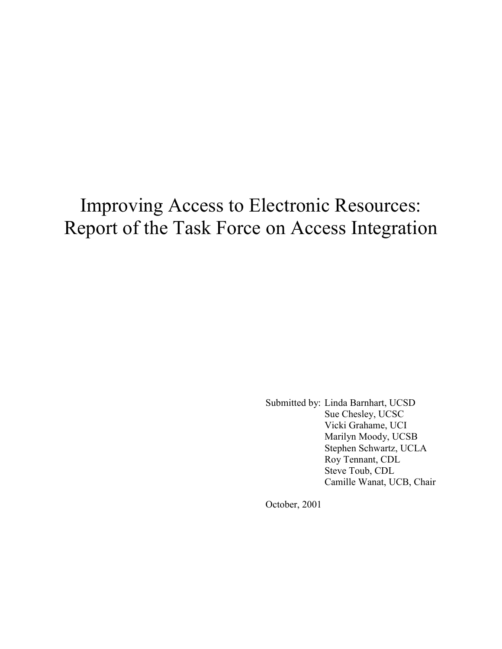# Improving Access to Electronic Resources: Report of the Task Force on Access Integration

Submitted by: Linda Barnhart, UCSD Sue Chesley, UCSC Vicki Grahame, UCI Marilyn Moody, UCSB Stephen Schwartz, UCLA Roy Tennant, CDL Steve Toub, CDL Camille Wanat, UCB, Chair

October, 2001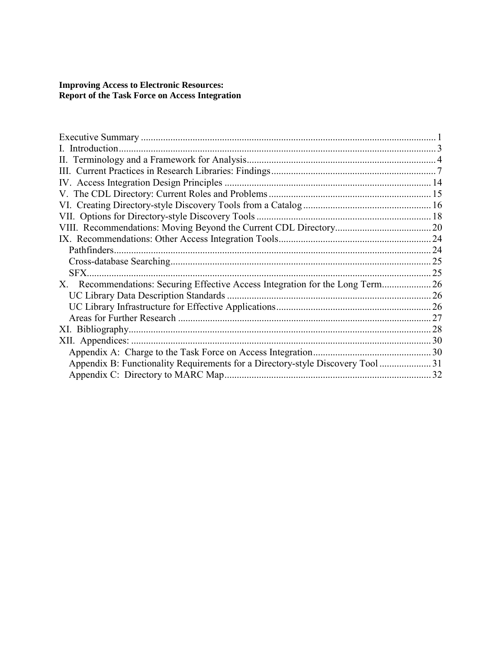## **Improving Access to Electronic Resources: Report of the Task Force on Access Integration**

| SFX.                                                                           |    |
|--------------------------------------------------------------------------------|----|
| X. Recommendations: Securing Effective Access Integration for the Long Term 26 |    |
|                                                                                |    |
|                                                                                |    |
|                                                                                | 27 |
|                                                                                | 28 |
| XII. Appendices:                                                               |    |
|                                                                                |    |
| Appendix B: Functionality Requirements for a Directory-style Discovery Tool 31 |    |
|                                                                                | 32 |
|                                                                                |    |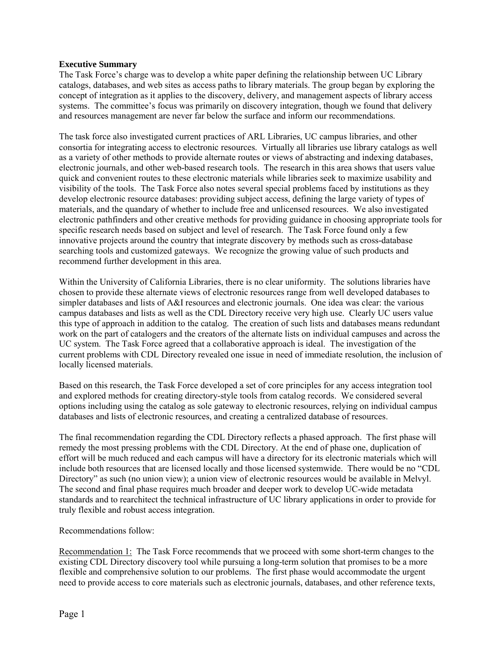## **Executive Summary**

The Task Force's charge was to develop a white paper defining the relationship between UC Library catalogs, databases, and web sites as access paths to library materials. The group began by exploring the concept of integration as it applies to the discovery, delivery, and management aspects of library access systems. The committee's focus was primarily on discovery integration, though we found that delivery and resources management are never far below the surface and inform our recommendations.

The task force also investigated current practices of ARL Libraries, UC campus libraries, and other consortia for integrating access to electronic resources. Virtually all libraries use library catalogs as well as a variety of other methods to provide alternate routes or views of abstracting and indexing databases, electronic journals, and other web-based research tools. The research in this area shows that users value quick and convenient routes to these electronic materials while libraries seek to maximize usability and visibility of the tools. The Task Force also notes several special problems faced by institutions as they develop electronic resource databases: providing subject access, defining the large variety of types of materials, and the quandary of whether to include free and unlicensed resources. We also investigated electronic pathfinders and other creative methods for providing guidance in choosing appropriate tools for specific research needs based on subject and level of research. The Task Force found only a few innovative projects around the country that integrate discovery by methods such as cross-database searching tools and customized gateways. We recognize the growing value of such products and recommend further development in this area.

Within the University of California Libraries, there is no clear uniformity. The solutions libraries have chosen to provide these alternate views of electronic resources range from well developed databases to simpler databases and lists of A&I resources and electronic journals. One idea was clear: the various campus databases and lists as well as the CDL Directory receive very high use. Clearly UC users value this type of approach in addition to the catalog. The creation of such lists and databases means redundant work on the part of catalogers and the creators of the alternate lists on individual campuses and across the UC system. The Task Force agreed that a collaborative approach is ideal. The investigation of the current problems with CDL Directory revealed one issue in need of immediate resolution, the inclusion of locally licensed materials.

Based on this research, the Task Force developed a set of core principles for any access integration tool and explored methods for creating directory-style tools from catalog records. We considered several options including using the catalog as sole gateway to electronic resources, relying on individual campus databases and lists of electronic resources, and creating a centralized database of resources.

The final recommendation regarding the CDL Directory reflects a phased approach. The first phase will remedy the most pressing problems with the CDL Directory. At the end of phase one, duplication of effort will be much reduced and each campus will have a directory for its electronic materials which will include both resources that are licensed locally and those licensed systemwide. There would be no "CDL Directory" as such (no union view); a union view of electronic resources would be available in Melvyl. The second and final phase requires much broader and deeper work to develop UC-wide metadata standards and to rearchitect the technical infrastructure of UC library applications in order to provide for truly flexible and robust access integration.

Recommendations follow:

Recommendation 1: The Task Force recommends that we proceed with some short-term changes to the existing CDL Directory discovery tool while pursuing a long-term solution that promises to be a more flexible and comprehensive solution to our problems. The first phase would accommodate the urgent need to provide access to core materials such as electronic journals, databases, and other reference texts,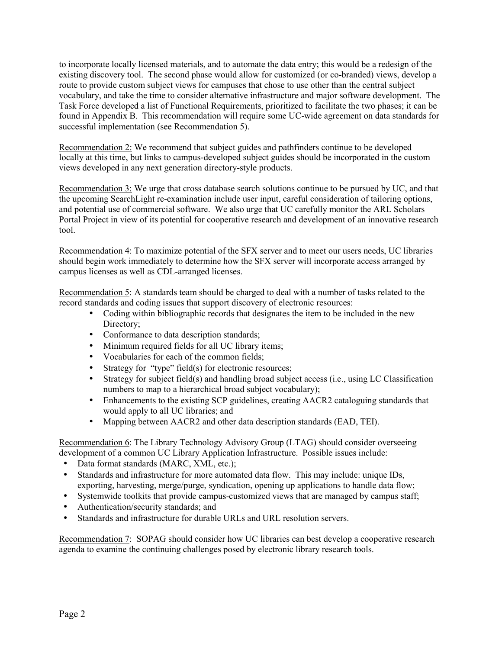to incorporate locally licensed materials, and to automate the data entry; this would be a redesign of the existing discovery tool. The second phase would allow for customized (or co-branded) views, develop a route to provide custom subject views for campuses that chose to use other than the central subject vocabulary, and take the time to consider alternative infrastructure and major software development. The Task Force developed a list of Functional Requirements, prioritized to facilitate the two phases; it can be found in Appendix B. This recommendation will require some UC-wide agreement on data standards for successful implementation (see Recommendation 5).

Recommendation 2: We recommend that subject guides and pathfinders continue to be developed locally at this time, but links to campus-developed subject guides should be incorporated in the custom views developed in any next generation directory-style products.

Recommendation 3: We urge that cross database search solutions continue to be pursued by UC, and that the upcoming SearchLight re-examination include user input, careful consideration of tailoring options, and potential use of commercial software. We also urge that UC carefully monitor the ARL Scholars Portal Project in view of its potential for cooperative research and development of an innovative research tool.

Recommendation 4: To maximize potential of the SFX server and to meet our users needs, UC libraries should begin work immediately to determine how the SFX server will incorporate access arranged by campus licenses as well as CDL-arranged licenses.

Recommendation 5: A standards team should be charged to deal with a number of tasks related to the record standards and coding issues that support discovery of electronic resources:

- Coding within bibliographic records that designates the item to be included in the new Directory;
- Conformance to data description standards;
- Minimum required fields for all UC library items;
- Vocabularies for each of the common fields;
- Strategy for "type" field(s) for electronic resources;
- Strategy for subject field(s) and handling broad subject access (i.e., using LC Classification numbers to map to a hierarchical broad subject vocabulary);
- Enhancements to the existing SCP guidelines, creating AACR2 cataloguing standards that would apply to all UC libraries; and
- Mapping between AACR2 and other data description standards (EAD, TEI).

Recommendation 6: The Library Technology Advisory Group (LTAG) should consider overseeing development of a common UC Library Application Infrastructure. Possible issues include:

- Data format standards (MARC, XML, etc.);
- Standards and infrastructure for more automated data flow. This may include: unique IDs, exporting, harvesting, merge/purge, syndication, opening up applications to handle data flow;
- Systemwide toolkits that provide campus-customized views that are managed by campus staff;
- Authentication/security standards; and
- Standards and infrastructure for durable URLs and URL resolution servers.

Recommendation 7: SOPAG should consider how UC libraries can best develop a cooperative research agenda to examine the continuing challenges posed by electronic library research tools.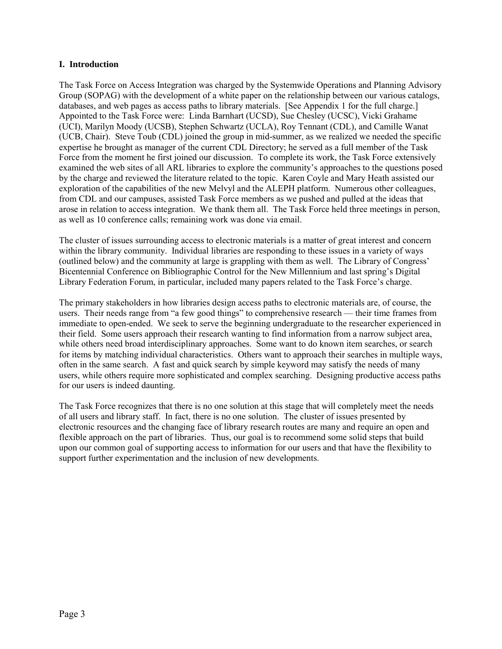## **I. Introduction**

The Task Force on Access Integration was charged by the Systemwide Operations and Planning Advisory Group (SOPAG) with the development of a white paper on the relationship between our various catalogs, databases, and web pages as access paths to library materials. [See Appendix 1 for the full charge.] Appointed to the Task Force were: Linda Barnhart (UCSD), Sue Chesley (UCSC), Vicki Grahame (UCI), Marilyn Moody (UCSB), Stephen Schwartz (UCLA), Roy Tennant (CDL), and Camille Wanat (UCB, Chair). Steve Toub (CDL) joined the group in mid-summer, as we realized we needed the specific expertise he brought as manager of the current CDL Directory; he served as a full member of the Task Force from the moment he first joined our discussion. To complete its work, the Task Force extensively examined the web sites of all ARL libraries to explore the community's approaches to the questions posed by the charge and reviewed the literature related to the topic. Karen Coyle and Mary Heath assisted our exploration of the capabilities of the new Melvyl and the ALEPH platform. Numerous other colleagues, from CDL and our campuses, assisted Task Force members as we pushed and pulled at the ideas that arose in relation to access integration. We thank them all. The Task Force held three meetings in person, as well as 10 conference calls; remaining work was done via email.

The cluster of issues surrounding access to electronic materials is a matter of great interest and concern within the library community. Individual libraries are responding to these issues in a variety of ways (outlined below) and the community at large is grappling with them as well. The Library of Congress' Bicentennial Conference on Bibliographic Control for the New Millennium and last spring's Digital Library Federation Forum, in particular, included many papers related to the Task Force's charge.

The primary stakeholders in how libraries design access paths to electronic materials are, of course, the users. Their needs range from "a few good things" to comprehensive research — their time frames from immediate to open-ended. We seek to serve the beginning undergraduate to the researcher experienced in their field. Some users approach their research wanting to find information from a narrow subject area, while others need broad interdisciplinary approaches. Some want to do known item searches, or search for items by matching individual characteristics. Others want to approach their searches in multiple ways, often in the same search. A fast and quick search by simple keyword may satisfy the needs of many users, while others require more sophisticated and complex searching. Designing productive access paths for our users is indeed daunting.

The Task Force recognizes that there is no one solution at this stage that will completely meet the needs of all users and library staff. In fact, there is no one solution. The cluster of issues presented by electronic resources and the changing face of library research routes are many and require an open and flexible approach on the part of libraries. Thus, our goal is to recommend some solid steps that build upon our common goal of supporting access to information for our users and that have the flexibility to support further experimentation and the inclusion of new developments.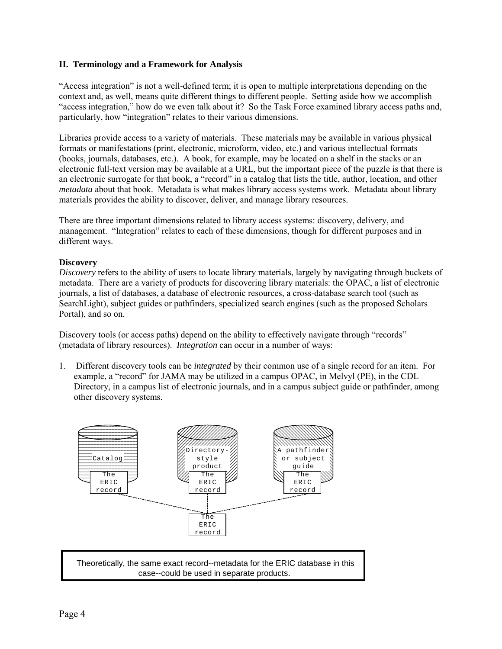## **II. Terminology and a Framework for Analysis**

ìAccess integrationî is not a well-defined term; it is open to multiple interpretations depending on the context and, as well, means quite different things to different people. Setting aside how we accomplish ìaccess integration,î how do we even talk about it? So the Task Force examined library access paths and, particularly, how "integration" relates to their various dimensions.

Libraries provide access to a variety of materials. These materials may be available in various physical formats or manifestations (print, electronic, microform, video, etc.) and various intellectual formats (books, journals, databases, etc.). A book, for example, may be located on a shelf in the stacks or an electronic full-text version may be available at a URL, but the important piece of the puzzle is that there is an electronic surrogate for that book, a "record" in a catalog that lists the title, author, location, and other *metadata* about that book. Metadata is what makes library access systems work. Metadata about library materials provides the ability to discover, deliver, and manage library resources.

There are three important dimensions related to library access systems: discovery, delivery, and management. "Integration" relates to each of these dimensions, though for different purposes and in different ways.

## **Discovery**

*Discovery* refers to the ability of users to locate library materials, largely by navigating through buckets of metadata. There are a variety of products for discovering library materials: the OPAC, a list of electronic journals, a list of databases, a database of electronic resources, a cross-database search tool (such as SearchLight), subject guides or pathfinders, specialized search engines (such as the proposed Scholars Portal), and so on.

Discovery tools (or access paths) depend on the ability to effectively navigate through "records" (metadata of library resources). *Integration* can occur in a number of ways:

1. Different discovery tools can be *integrated* by their common use of a single record for an item. For example, a "record" for JAMA may be utilized in a campus OPAC, in Melvyl (PE), in the CDL Directory, in a campus list of electronic journals, and in a campus subject guide or pathfinder, among other discovery systems.



Theoretically, the same exact record--metadata for the ERIC database in this case--could be used in separate products.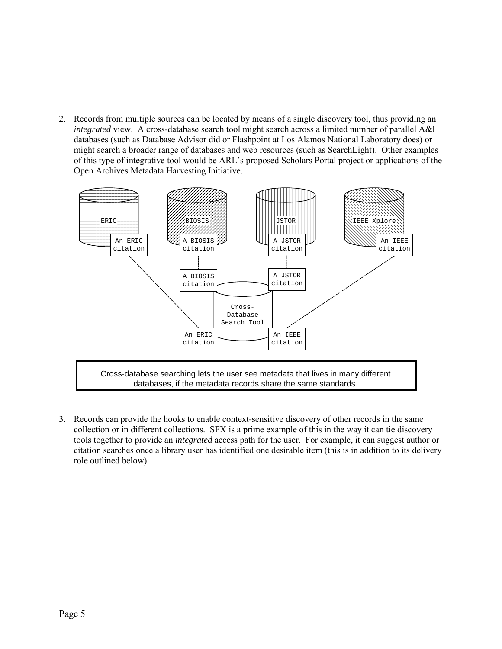2. Records from multiple sources can be located by means of a single discovery tool, thus providing an *integrated* view. A cross-database search tool might search across a limited number of parallel A&I databases (such as Database Advisor did or Flashpoint at Los Alamos National Laboratory does) or might search a broader range of databases and web resources (such as SearchLight). Other examples of this type of integrative tool would be ARLís proposed Scholars Portal project or applications of the Open Archives Metadata Harvesting Initiative.



3. Records can provide the hooks to enable context-sensitive discovery of other records in the same collection or in different collections. SFX is a prime example of this in the way it can tie discovery tools together to provide an *integrated* access path for the user. For example, it can suggest author or citation searches once a library user has identified one desirable item (this is in addition to its delivery role outlined below).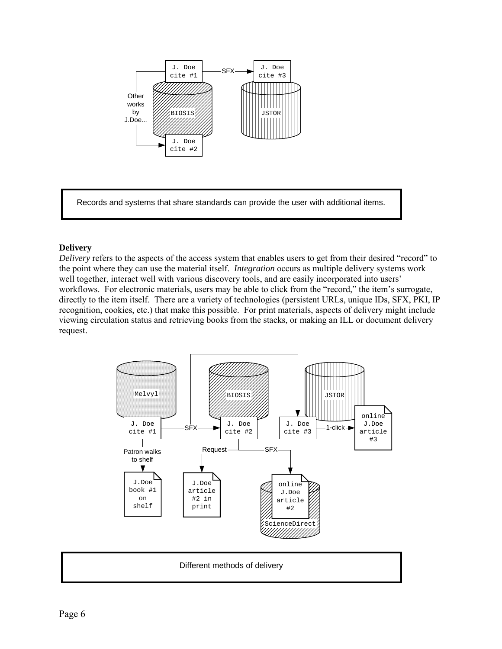

Records and systems that share standards can provide the user with additional items.

## **Delivery**

*Delivery* refers to the aspects of the access system that enables users to get from their desired "record" to the point where they can use the material itself. *Integration* occurs as multiple delivery systems work well together, interact well with various discovery tools, and are easily incorporated into users' workflows. For electronic materials, users may be able to click from the "record," the item's surrogate, directly to the item itself. There are a variety of technologies (persistent URLs, unique IDs, SFX, PKI, IP recognition, cookies, etc.) that make this possible. For print materials, aspects of delivery might include viewing circulation status and retrieving books from the stacks, or making an ILL or document delivery request.



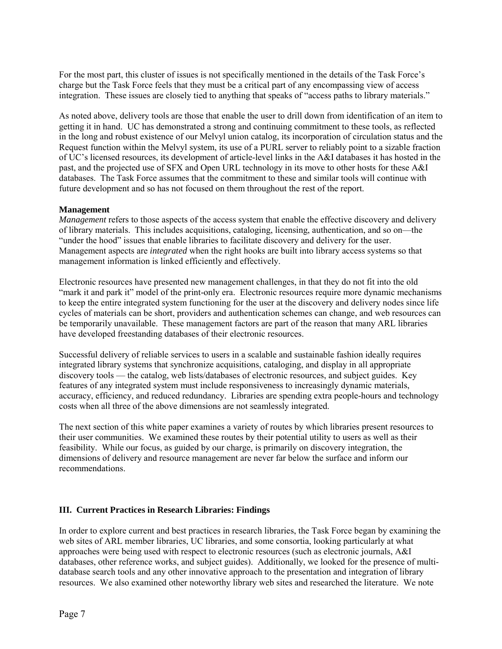For the most part, this cluster of issues is not specifically mentioned in the details of the Task Force's charge but the Task Force feels that they must be a critical part of any encompassing view of access integration. These issues are closely tied to anything that speaks of "access paths to library materials."

As noted above, delivery tools are those that enable the user to drill down from identification of an item to getting it in hand. UC has demonstrated a strong and continuing commitment to these tools, as reflected in the long and robust existence of our Melvyl union catalog, its incorporation of circulation status and the Request function within the Melvyl system, its use of a PURL server to reliably point to a sizable fraction of UCís licensed resources, its development of article-level links in the A&I databases it has hosted in the past, and the projected use of SFX and Open URL technology in its move to other hosts for these A&I databases. The Task Force assumes that the commitment to these and similar tools will continue with future development and so has not focused on them throughout the rest of the report.

## **Management**

*Management* refers to those aspects of the access system that enable the effective discovery and delivery of library materials. This includes acquisitions, cataloging, licensing, authentication, and so on—the "under the hood" issues that enable libraries to facilitate discovery and delivery for the user. Management aspects are *integrated* when the right hooks are built into library access systems so that management information is linked efficiently and effectively.

Electronic resources have presented new management challenges, in that they do not fit into the old ìmark it and park itî model of the print-only era. Electronic resources require more dynamic mechanisms to keep the entire integrated system functioning for the user at the discovery and delivery nodes since life cycles of materials can be short, providers and authentication schemes can change, and web resources can be temporarily unavailable. These management factors are part of the reason that many ARL libraries have developed freestanding databases of their electronic resources.

Successful delivery of reliable services to users in a scalable and sustainable fashion ideally requires integrated library systems that synchronize acquisitions, cataloging, and display in all appropriate discovery tools — the catalog, web lists/databases of electronic resources, and subject guides. Key features of any integrated system must include responsiveness to increasingly dynamic materials, accuracy, efficiency, and reduced redundancy. Libraries are spending extra people-hours and technology costs when all three of the above dimensions are not seamlessly integrated.

The next section of this white paper examines a variety of routes by which libraries present resources to their user communities. We examined these routes by their potential utility to users as well as their feasibility. While our focus, as guided by our charge, is primarily on discovery integration, the dimensions of delivery and resource management are never far below the surface and inform our recommendations.

# **III. Current Practices in Research Libraries: Findings**

In order to explore current and best practices in research libraries, the Task Force began by examining the web sites of ARL member libraries, UC libraries, and some consortia, looking particularly at what approaches were being used with respect to electronic resources (such as electronic journals, A&I databases, other reference works, and subject guides). Additionally, we looked for the presence of multidatabase search tools and any other innovative approach to the presentation and integration of library resources. We also examined other noteworthy library web sites and researched the literature. We note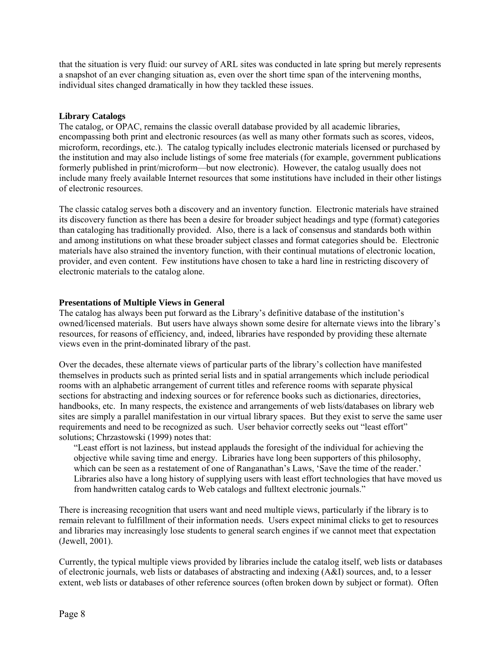that the situation is very fluid: our survey of ARL sites was conducted in late spring but merely represents a snapshot of an ever changing situation as, even over the short time span of the intervening months, individual sites changed dramatically in how they tackled these issues.

## **Library Catalogs**

The catalog, or OPAC, remains the classic overall database provided by all academic libraries, encompassing both print and electronic resources (as well as many other formats such as scores, videos, microform, recordings, etc.). The catalog typically includes electronic materials licensed or purchased by the institution and may also include listings of some free materials (for example, government publications formerly published in print/microform—but now electronic). However, the catalog usually does not include many freely available Internet resources that some institutions have included in their other listings of electronic resources.

The classic catalog serves both a discovery and an inventory function. Electronic materials have strained its discovery function as there has been a desire for broader subject headings and type (format) categories than cataloging has traditionally provided. Also, there is a lack of consensus and standards both within and among institutions on what these broader subject classes and format categories should be. Electronic materials have also strained the inventory function, with their continual mutations of electronic location, provider, and even content. Few institutions have chosen to take a hard line in restricting discovery of electronic materials to the catalog alone.

## **Presentations of Multiple Views in General**

The catalog has always been put forward as the Library's definitive database of the institution's owned/licensed materials. But users have always shown some desire for alternate views into the libraryís resources, for reasons of efficiency, and, indeed, libraries have responded by providing these alternate views even in the print-dominated library of the past.

Over the decades, these alternate views of particular parts of the library's collection have manifested themselves in products such as printed serial lists and in spatial arrangements which include periodical rooms with an alphabetic arrangement of current titles and reference rooms with separate physical sections for abstracting and indexing sources or for reference books such as dictionaries, directories, handbooks, etc. In many respects, the existence and arrangements of web lists/databases on library web sites are simply a parallel manifestation in our virtual library spaces. But they exist to serve the same user requirements and need to be recognized as such. User behavior correctly seeks out "least effort" solutions; Chrzastowski (1999) notes that:

ìLeast effort is not laziness, but instead applauds the foresight of the individual for achieving the objective while saving time and energy. Libraries have long been supporters of this philosophy, which can be seen as a restatement of one of Ranganathan's Laws, 'Save the time of the reader.' Libraries also have a long history of supplying users with least effort technologies that have moved us from handwritten catalog cards to Web catalogs and fulltext electronic journals."

There is increasing recognition that users want and need multiple views, particularly if the library is to remain relevant to fulfillment of their information needs. Users expect minimal clicks to get to resources and libraries may increasingly lose students to general search engines if we cannot meet that expectation (Jewell, 2001).

Currently, the typical multiple views provided by libraries include the catalog itself, web lists or databases of electronic journals, web lists or databases of abstracting and indexing (A&I) sources, and, to a lesser extent, web lists or databases of other reference sources (often broken down by subject or format). Often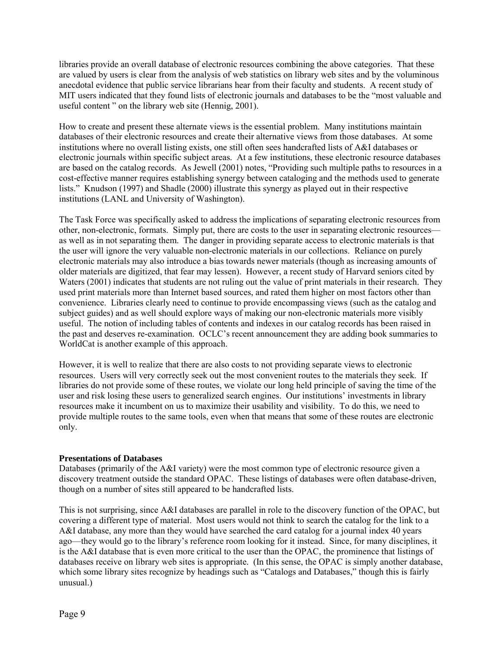libraries provide an overall database of electronic resources combining the above categories. That these are valued by users is clear from the analysis of web statistics on library web sites and by the voluminous anecdotal evidence that public service librarians hear from their faculty and students. A recent study of MIT users indicated that they found lists of electronic journals and databases to be the "most valuable and useful content  $\degree$  on the library web site (Hennig, 2001).

How to create and present these alternate views is the essential problem. Many institutions maintain databases of their electronic resources and create their alternative views from those databases. At some institutions where no overall listing exists, one still often sees handcrafted lists of A&I databases or electronic journals within specific subject areas. At a few institutions, these electronic resource databases are based on the catalog records. As Jewell (2001) notes, "Providing such multiple paths to resources in a cost-effective manner requires establishing synergy between cataloging and the methods used to generate lists." Knudson (1997) and Shadle (2000) illustrate this synergy as played out in their respective institutions (LANL and University of Washington).

The Task Force was specifically asked to address the implications of separating electronic resources from other, non-electronic, formats. Simply put, there are costs to the user in separating electronic resources as well as in not separating them. The danger in providing separate access to electronic materials is that the user will ignore the very valuable non-electronic materials in our collections. Reliance on purely electronic materials may also introduce a bias towards newer materials (though as increasing amounts of older materials are digitized, that fear may lessen). However, a recent study of Harvard seniors cited by Waters (2001) indicates that students are not ruling out the value of print materials in their research. They used print materials more than Internet based sources, and rated them higher on most factors other than convenience. Libraries clearly need to continue to provide encompassing views (such as the catalog and subject guides) and as well should explore ways of making our non-electronic materials more visibly useful. The notion of including tables of contents and indexes in our catalog records has been raised in the past and deserves re-examination. OCLC's recent announcement they are adding book summaries to WorldCat is another example of this approach.

However, it is well to realize that there are also costs to not providing separate views to electronic resources. Users will very correctly seek out the most convenient routes to the materials they seek. If libraries do not provide some of these routes, we violate our long held principle of saving the time of the user and risk losing these users to generalized search engines. Our institutions' investments in library resources make it incumbent on us to maximize their usability and visibility. To do this, we need to provide multiple routes to the same tools, even when that means that some of these routes are electronic only.

## **Presentations of Databases**

Databases (primarily of the A&I variety) were the most common type of electronic resource given a discovery treatment outside the standard OPAC. These listings of databases were often database-driven, though on a number of sites still appeared to be handcrafted lists.

This is not surprising, since A&I databases are parallel in role to the discovery function of the OPAC, but covering a different type of material. Most users would not think to search the catalog for the link to a A&I database, any more than they would have searched the card catalog for a journal index 40 years ago—they would go to the library's reference room looking for it instead. Since, for many disciplines, it is the A&I database that is even more critical to the user than the OPAC, the prominence that listings of databases receive on library web sites is appropriate. (In this sense, the OPAC is simply another database, which some library sites recognize by headings such as "Catalogs and Databases," though this is fairly unusual.)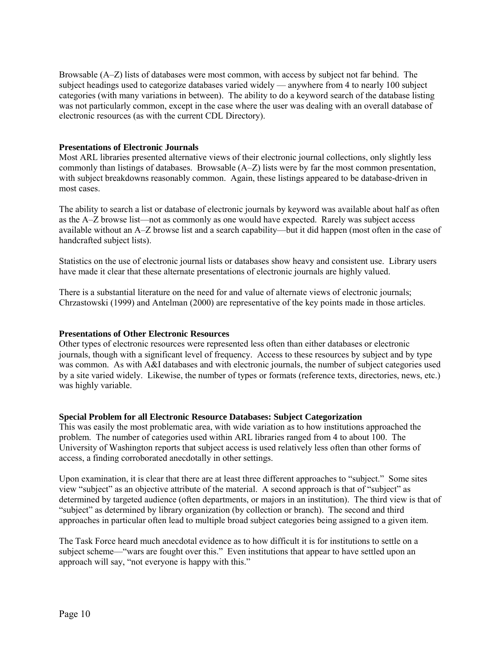Browsable  $(A-Z)$  lists of databases were most common, with access by subject not far behind. The subject headings used to categorize databases varied widely — anywhere from 4 to nearly 100 subject categories (with many variations in between). The ability to do a keyword search of the database listing was not particularly common, except in the case where the user was dealing with an overall database of electronic resources (as with the current CDL Directory).

## **Presentations of Electronic Journals**

Most ARL libraries presented alternative views of their electronic journal collections, only slightly less commonly than listings of databases. Browsable  $(A-Z)$  lists were by far the most common presentation, with subject breakdowns reasonably common. Again, these listings appeared to be database-driven in most cases.

The ability to search a list or database of electronic journals by keyword was available about half as often as the A–Z browse list—not as commonly as one would have expected. Rarely was subject access available without an A-Z browse list and a search capability—but it did happen (most often in the case of handcrafted subject lists).

Statistics on the use of electronic journal lists or databases show heavy and consistent use. Library users have made it clear that these alternate presentations of electronic journals are highly valued.

There is a substantial literature on the need for and value of alternate views of electronic journals; Chrzastowski (1999) and Antelman (2000) are representative of the key points made in those articles.

## **Presentations of Other Electronic Resources**

Other types of electronic resources were represented less often than either databases or electronic journals, though with a significant level of frequency. Access to these resources by subject and by type was common. As with A&I databases and with electronic journals, the number of subject categories used by a site varied widely. Likewise, the number of types or formats (reference texts, directories, news, etc.) was highly variable.

#### **Special Problem for all Electronic Resource Databases: Subject Categorization**

This was easily the most problematic area, with wide variation as to how institutions approached the problem. The number of categories used within ARL libraries ranged from 4 to about 100. The University of Washington reports that subject access is used relatively less often than other forms of access, a finding corroborated anecdotally in other settings.

Upon examination, it is clear that there are at least three different approaches to "subject." Some sites view "subject" as an objective attribute of the material. A second approach is that of "subject" as determined by targeted audience (often departments, or majors in an institution). The third view is that of "subject" as determined by library organization (by collection or branch). The second and third approaches in particular often lead to multiple broad subject categories being assigned to a given item.

The Task Force heard much anecdotal evidence as to how difficult it is for institutions to settle on a subject scheme—"wars are fought over this." Even institutions that appear to have settled upon an approach will say, "not everyone is happy with this."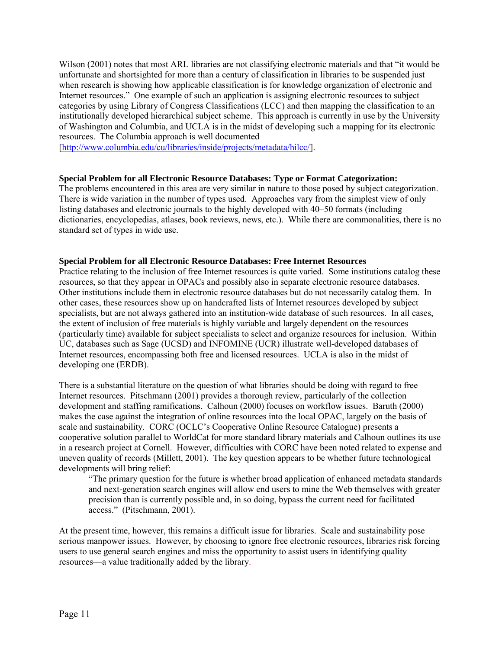Wilson (2001) notes that most ARL libraries are not classifying electronic materials and that "it would be unfortunate and shortsighted for more than a century of classification in libraries to be suspended just when research is showing how applicable classification is for knowledge organization of electronic and Internet resources." One example of such an application is assigning electronic resources to subject categories by using Library of Congress Classifications (LCC) and then mapping the classification to an institutionally developed hierarchical subject scheme. This approach is currently in use by the University of Washington and Columbia, and UCLA is in the midst of developing such a mapping for its electronic resources. The Columbia approach is well documented

[http://www.columbia.edu/cu/libraries/inside/projects/metadata/hilcc/].

## **Special Problem for all Electronic Resource Databases: Type or Format Categorization:**

The problems encountered in this area are very similar in nature to those posed by subject categorization. There is wide variation in the number of types used. Approaches vary from the simplest view of only listing databases and electronic journals to the highly developed with  $40-50$  formats (including dictionaries, encyclopedias, atlases, book reviews, news, etc.). While there are commonalities, there is no standard set of types in wide use.

## **Special Problem for all Electronic Resource Databases: Free Internet Resources**

Practice relating to the inclusion of free Internet resources is quite varied. Some institutions catalog these resources, so that they appear in OPACs and possibly also in separate electronic resource databases. Other institutions include them in electronic resource databases but do not necessarily catalog them. In other cases, these resources show up on handcrafted lists of Internet resources developed by subject specialists, but are not always gathered into an institution-wide database of such resources. In all cases, the extent of inclusion of free materials is highly variable and largely dependent on the resources (particularly time) available for subject specialists to select and organize resources for inclusion. Within UC, databases such as Sage (UCSD) and INFOMINE (UCR) illustrate well-developed databases of Internet resources, encompassing both free and licensed resources. UCLA is also in the midst of developing one (ERDB).

There is a substantial literature on the question of what libraries should be doing with regard to free Internet resources. Pitschmann (2001) provides a thorough review, particularly of the collection development and staffing ramifications. Calhoun (2000) focuses on workflow issues. Baruth (2000) makes the case against the integration of online resources into the local OPAC, largely on the basis of scale and sustainability. CORC (OCLC's Cooperative Online Resource Catalogue) presents a cooperative solution parallel to WorldCat for more standard library materials and Calhoun outlines its use in a research project at Cornell. However, difficulties with CORC have been noted related to expense and uneven quality of records (Millett, 2001). The key question appears to be whether future technological developments will bring relief:

ìThe primary question for the future is whether broad application of enhanced metadata standards and next-generation search engines will allow end users to mine the Web themselves with greater precision than is currently possible and, in so doing, bypass the current need for facilitated access." (Pitschmann, 2001).

At the present time, however, this remains a difficult issue for libraries. Scale and sustainability pose serious manpower issues. However, by choosing to ignore free electronic resources, libraries risk forcing users to use general search engines and miss the opportunity to assist users in identifying quality resources—a value traditionally added by the library.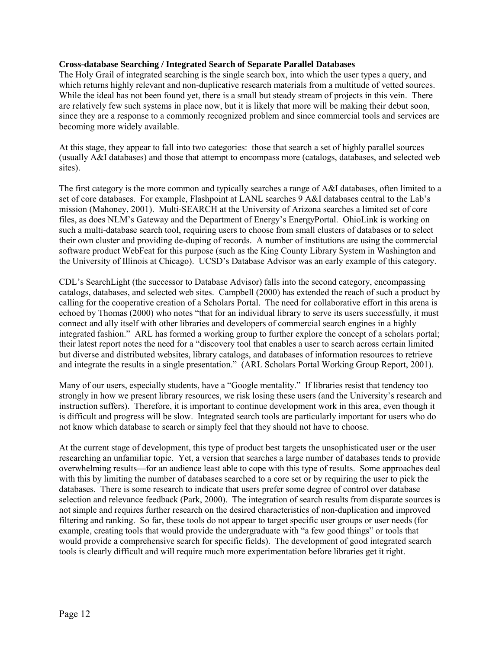## **Cross-database Searching / Integrated Search of Separate Parallel Databases**

The Holy Grail of integrated searching is the single search box, into which the user types a query, and which returns highly relevant and non-duplicative research materials from a multitude of vetted sources. While the ideal has not been found yet, there is a small but steady stream of projects in this vein. There are relatively few such systems in place now, but it is likely that more will be making their debut soon, since they are a response to a commonly recognized problem and since commercial tools and services are becoming more widely available.

At this stage, they appear to fall into two categories: those that search a set of highly parallel sources (usually A&I databases) and those that attempt to encompass more (catalogs, databases, and selected web sites).

The first category is the more common and typically searches a range of A&I databases, often limited to a set of core databases. For example, Flashpoint at LANL searches 9 A&I databases central to the Lab's mission (Mahoney, 2001). Multi-SEARCH at the University of Arizona searches a limited set of core files, as does NLM's Gateway and the Department of Energy's EnergyPortal. OhioLink is working on such a multi-database search tool, requiring users to choose from small clusters of databases or to select their own cluster and providing de-duping of records. A number of institutions are using the commercial software product WebFeat for this purpose (such as the King County Library System in Washington and the University of Illinois at Chicago). UCSD's Database Advisor was an early example of this category.

CDLís SearchLight (the successor to Database Advisor) falls into the second category, encompassing catalogs, databases, and selected web sites. Campbell (2000) has extended the reach of such a product by calling for the cooperative creation of a Scholars Portal. The need for collaborative effort in this arena is echoed by Thomas (2000) who notes "that for an individual library to serve its users successfully, it must connect and ally itself with other libraries and developers of commercial search engines in a highly integrated fashion." ARL has formed a working group to further explore the concept of a scholars portal; their latest report notes the need for a "discovery tool that enables a user to search across certain limited but diverse and distributed websites, library catalogs, and databases of information resources to retrieve and integrate the results in a single presentation." (ARL Scholars Portal Working Group Report, 2001).

Many of our users, especially students, have a "Google mentality." If libraries resist that tendency too strongly in how we present library resources, we risk losing these users (and the University's research and instruction suffers). Therefore, it is important to continue development work in this area, even though it is difficult and progress will be slow. Integrated search tools are particularly important for users who do not know which database to search or simply feel that they should not have to choose.

At the current stage of development, this type of product best targets the unsophisticated user or the user researching an unfamiliar topic. Yet, a version that searches a large number of databases tends to provide overwhelming results—for an audience least able to cope with this type of results. Some approaches deal with this by limiting the number of databases searched to a core set or by requiring the user to pick the databases. There is some research to indicate that users prefer some degree of control over database selection and relevance feedback (Park, 2000). The integration of search results from disparate sources is not simple and requires further research on the desired characteristics of non-duplication and improved filtering and ranking. So far, these tools do not appear to target specific user groups or user needs (for example, creating tools that would provide the undergraduate with "a few good things" or tools that would provide a comprehensive search for specific fields). The development of good integrated search tools is clearly difficult and will require much more experimentation before libraries get it right.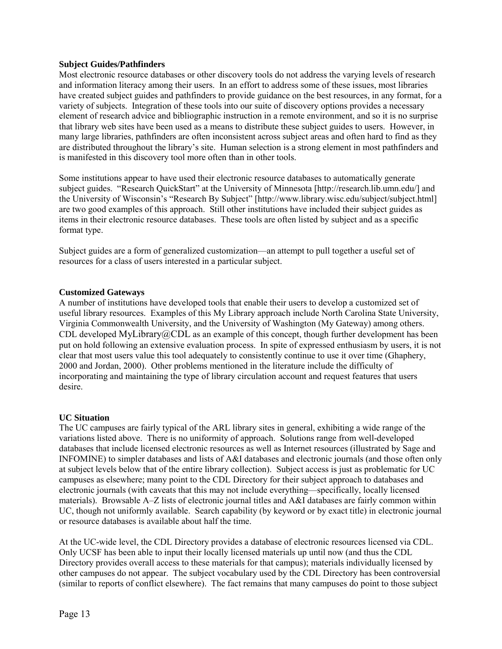#### **Subject Guides/Pathfinders**

Most electronic resource databases or other discovery tools do not address the varying levels of research and information literacy among their users. In an effort to address some of these issues, most libraries have created subject guides and pathfinders to provide guidance on the best resources, in any format, for a variety of subjects. Integration of these tools into our suite of discovery options provides a necessary element of research advice and bibliographic instruction in a remote environment, and so it is no surprise that library web sites have been used as a means to distribute these subject guides to users. However, in many large libraries, pathfinders are often inconsistent across subject areas and often hard to find as they are distributed throughout the library's site. Human selection is a strong element in most pathfinders and is manifested in this discovery tool more often than in other tools.

Some institutions appear to have used their electronic resource databases to automatically generate subject guides. "Research QuickStart" at the University of Minnesota [http://research.lib.umn.edu/] and the University of Wisconsin's "Research By Subject" [http://www.library.wisc.edu/subject/subject.html] are two good examples of this approach. Still other institutions have included their subject guides as items in their electronic resource databases. These tools are often listed by subject and as a specific format type.

Subject guides are a form of generalized customization—an attempt to pull together a useful set of resources for a class of users interested in a particular subject.

#### **Customized Gateways**

A number of institutions have developed tools that enable their users to develop a customized set of useful library resources. Examples of this My Library approach include North Carolina State University, Virginia Commonwealth University, and the University of Washington (My Gateway) among others. CDL developed MyLibrary@CDL as an example of this concept, though further development has been put on hold following an extensive evaluation process. In spite of expressed enthusiasm by users, it is not clear that most users value this tool adequately to consistently continue to use it over time (Ghaphery, 2000 and Jordan, 2000). Other problems mentioned in the literature include the difficulty of incorporating and maintaining the type of library circulation account and request features that users desire.

## **UC Situation**

The UC campuses are fairly typical of the ARL library sites in general, exhibiting a wide range of the variations listed above. There is no uniformity of approach. Solutions range from well-developed databases that include licensed electronic resources as well as Internet resources (illustrated by Sage and INFOMINE) to simpler databases and lists of A&I databases and electronic journals (and those often only at subject levels below that of the entire library collection). Subject access is just as problematic for UC campuses as elsewhere; many point to the CDL Directory for their subject approach to databases and electronic journals (with caveats that this may not include everything—specifically, locally licensed materials). Browsable A–Z lists of electronic journal titles and A&I databases are fairly common within UC, though not uniformly available. Search capability (by keyword or by exact title) in electronic journal or resource databases is available about half the time.

At the UC-wide level, the CDL Directory provides a database of electronic resources licensed via CDL. Only UCSF has been able to input their locally licensed materials up until now (and thus the CDL Directory provides overall access to these materials for that campus); materials individually licensed by other campuses do not appear. The subject vocabulary used by the CDL Directory has been controversial (similar to reports of conflict elsewhere). The fact remains that many campuses do point to those subject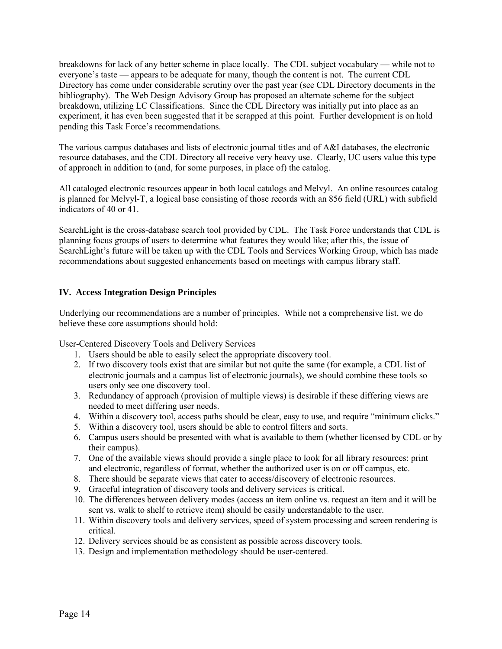breakdowns for lack of any better scheme in place locally. The CDL subject vocabulary — while not to everyone's taste  $\sim$  appears to be adequate for many, though the content is not. The current CDL Directory has come under considerable scrutiny over the past year (see CDL Directory documents in the bibliography). The Web Design Advisory Group has proposed an alternate scheme for the subject breakdown, utilizing LC Classifications. Since the CDL Directory was initially put into place as an experiment, it has even been suggested that it be scrapped at this point. Further development is on hold pending this Task Force's recommendations.

The various campus databases and lists of electronic journal titles and of A&I databases, the electronic resource databases, and the CDL Directory all receive very heavy use. Clearly, UC users value this type of approach in addition to (and, for some purposes, in place of) the catalog.

All cataloged electronic resources appear in both local catalogs and Melvyl. An online resources catalog is planned for Melvyl-T, a logical base consisting of those records with an 856 field (URL) with subfield indicators of 40 or 41.

SearchLight is the cross-database search tool provided by CDL. The Task Force understands that CDL is planning focus groups of users to determine what features they would like; after this, the issue of SearchLight's future will be taken up with the CDL Tools and Services Working Group, which has made recommendations about suggested enhancements based on meetings with campus library staff.

# **IV. Access Integration Design Principles**

Underlying our recommendations are a number of principles. While not a comprehensive list, we do believe these core assumptions should hold:

User-Centered Discovery Tools and Delivery Services

- 1. Users should be able to easily select the appropriate discovery tool.
- 2. If two discovery tools exist that are similar but not quite the same (for example, a CDL list of electronic journals and a campus list of electronic journals), we should combine these tools so users only see one discovery tool.
- 3. Redundancy of approach (provision of multiple views) is desirable if these differing views are needed to meet differing user needs.
- 4. Within a discovery tool, access paths should be clear, easy to use, and require "minimum clicks."
- 5. Within a discovery tool, users should be able to control filters and sorts.
- 6. Campus users should be presented with what is available to them (whether licensed by CDL or by their campus).
- 7. One of the available views should provide a single place to look for all library resources: print and electronic, regardless of format, whether the authorized user is on or off campus, etc.
- 8. There should be separate views that cater to access/discovery of electronic resources.
- 9. Graceful integration of discovery tools and delivery services is critical.
- 10. The differences between delivery modes (access an item online vs. request an item and it will be sent vs. walk to shelf to retrieve item) should be easily understandable to the user.
- 11. Within discovery tools and delivery services, speed of system processing and screen rendering is critical.
- 12. Delivery services should be as consistent as possible across discovery tools.
- 13. Design and implementation methodology should be user-centered.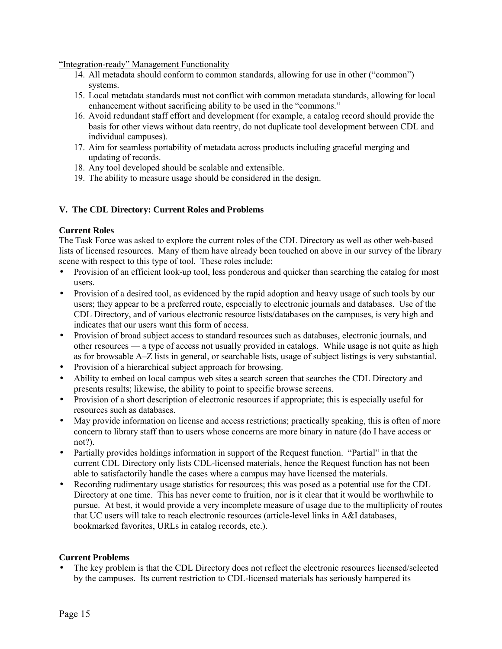"Integration-ready" Management Functionality

- 14. All metadata should conform to common standards, allowing for use in other ("common") systems.
- 15. Local metadata standards must not conflict with common metadata standards, allowing for local enhancement without sacrificing ability to be used in the "commons."
- 16. Avoid redundant staff effort and development (for example, a catalog record should provide the basis for other views without data reentry, do not duplicate tool development between CDL and individual campuses).
- 17. Aim for seamless portability of metadata across products including graceful merging and updating of records.
- 18. Any tool developed should be scalable and extensible.
- 19. The ability to measure usage should be considered in the design.

## **V. The CDL Directory: Current Roles and Problems**

## **Current Roles**

The Task Force was asked to explore the current roles of the CDL Directory as well as other web-based lists of licensed resources. Many of them have already been touched on above in our survey of the library scene with respect to this type of tool. These roles include:

- Provision of an efficient look-up tool, less ponderous and quicker than searching the catalog for most users.
- Provision of a desired tool, as evidenced by the rapid adoption and heavy usage of such tools by our users; they appear to be a preferred route, especially to electronic journals and databases. Use of the CDL Directory, and of various electronic resource lists/databases on the campuses, is very high and indicates that our users want this form of access.
- Provision of broad subject access to standard resources such as databases, electronic journals, and other resources — a type of access not usually provided in catalogs. While usage is not quite as high as for browsable A–Z lists in general, or searchable lists, usage of subject listings is very substantial.
- Provision of a hierarchical subject approach for browsing.
- Ability to embed on local campus web sites a search screen that searches the CDL Directory and presents results; likewise, the ability to point to specific browse screens.
- Provision of a short description of electronic resources if appropriate; this is especially useful for resources such as databases.
- May provide information on license and access restrictions; practically speaking, this is often of more concern to library staff than to users whose concerns are more binary in nature (do I have access or not?).
- Partially provides holdings information in support of the Request function. "Partial" in that the current CDL Directory only lists CDL-licensed materials, hence the Request function has not been able to satisfactorily handle the cases where a campus may have licensed the materials.
- Recording rudimentary usage statistics for resources; this was posed as a potential use for the CDL Directory at one time. This has never come to fruition, nor is it clear that it would be worthwhile to pursue. At best, it would provide a very incomplete measure of usage due to the multiplicity of routes that UC users will take to reach electronic resources (article-level links in A&I databases, bookmarked favorites, URLs in catalog records, etc.).

## **Current Problems**

The key problem is that the CDL Directory does not reflect the electronic resources licensed/selected by the campuses. Its current restriction to CDL-licensed materials has seriously hampered its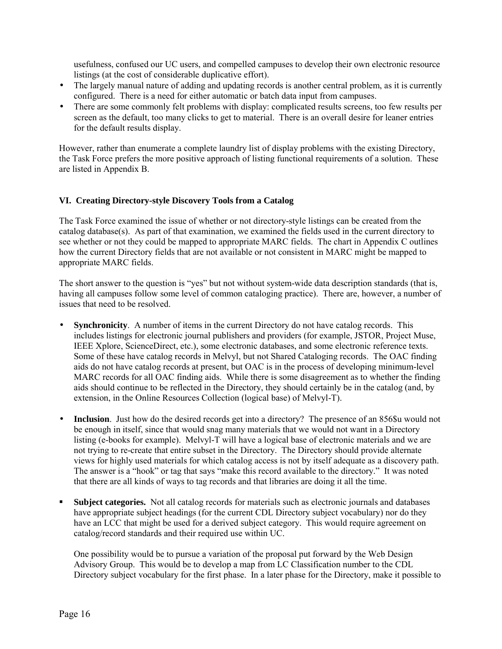usefulness, confused our UC users, and compelled campuses to develop their own electronic resource listings (at the cost of considerable duplicative effort).

- The largely manual nature of adding and updating records is another central problem, as it is currently configured. There is a need for either automatic or batch data input from campuses.
- There are some commonly felt problems with display: complicated results screens, too few results per screen as the default, too many clicks to get to material. There is an overall desire for leaner entries for the default results display.

However, rather than enumerate a complete laundry list of display problems with the existing Directory, the Task Force prefers the more positive approach of listing functional requirements of a solution. These are listed in Appendix B.

# **VI. Creating Directory-style Discovery Tools from a Catalog**

The Task Force examined the issue of whether or not directory-style listings can be created from the catalog database(s). As part of that examination, we examined the fields used in the current directory to see whether or not they could be mapped to appropriate MARC fields. The chart in Appendix C outlines how the current Directory fields that are not available or not consistent in MARC might be mapped to appropriate MARC fields.

The short answer to the question is "yes" but not without system-wide data description standards (that is, having all campuses follow some level of common cataloging practice). There are, however, a number of issues that need to be resolved.

- **Synchronicity.** A number of items in the current Directory do not have catalog records. This includes listings for electronic journal publishers and providers (for example, JSTOR, Project Muse, IEEE Xplore, ScienceDirect, etc.), some electronic databases, and some electronic reference texts. Some of these have catalog records in Melvyl, but not Shared Cataloging records. The OAC finding aids do not have catalog records at present, but OAC is in the process of developing minimum-level MARC records for all OAC finding aids. While there is some disagreement as to whether the finding aids should continue to be reflected in the Directory, they should certainly be in the catalog (and, by extension, in the Online Resources Collection (logical base) of Melvyl-T).
- **Inclusion**. Just how do the desired records get into a directory? The presence of an 856\$u would not be enough in itself, since that would snag many materials that we would not want in a Directory listing (e-books for example). Melvyl-T will have a logical base of electronic materials and we are not trying to re-create that entire subset in the Directory. The Directory should provide alternate views for highly used materials for which catalog access is not by itself adequate as a discovery path. The answer is a "hook" or tag that says "make this record available to the directory." It was noted that there are all kinds of ways to tag records and that libraries are doing it all the time.
- **Subject categories.** Not all catalog records for materials such as electronic journals and databases have appropriate subject headings (for the current CDL Directory subject vocabulary) nor do they have an LCC that might be used for a derived subject category. This would require agreement on catalog/record standards and their required use within UC.

One possibility would be to pursue a variation of the proposal put forward by the Web Design Advisory Group. This would be to develop a map from LC Classification number to the CDL Directory subject vocabulary for the first phase. In a later phase for the Directory, make it possible to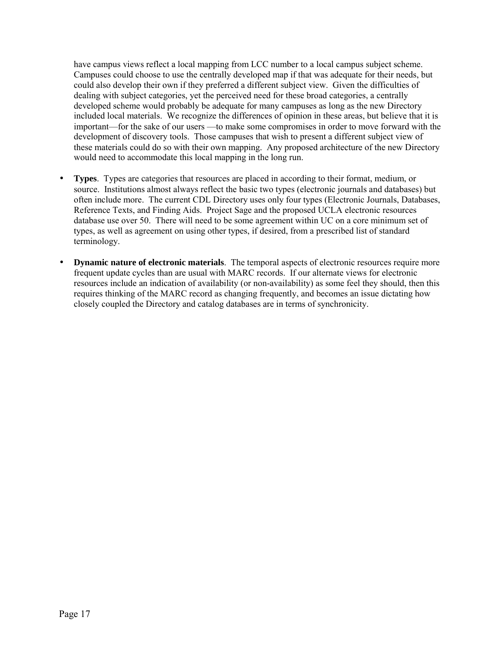have campus views reflect a local mapping from LCC number to a local campus subject scheme. Campuses could choose to use the centrally developed map if that was adequate for their needs, but could also develop their own if they preferred a different subject view. Given the difficulties of dealing with subject categories, yet the perceived need for these broad categories, a centrally developed scheme would probably be adequate for many campuses as long as the new Directory included local materials. We recognize the differences of opinion in these areas, but believe that it is important—for the sake of our users —to make some compromises in order to move forward with the development of discovery tools. Those campuses that wish to present a different subject view of these materials could do so with their own mapping. Any proposed architecture of the new Directory would need to accommodate this local mapping in the long run.

- **Types**. Types are categories that resources are placed in according to their format, medium, or source. Institutions almost always reflect the basic two types (electronic journals and databases) but often include more. The current CDL Directory uses only four types (Electronic Journals, Databases, Reference Texts, and Finding Aids. Project Sage and the proposed UCLA electronic resources database use over 50. There will need to be some agreement within UC on a core minimum set of types, as well as agreement on using other types, if desired, from a prescribed list of standard terminology.
- **Dynamic nature of electronic materials**. The temporal aspects of electronic resources require more frequent update cycles than are usual with MARC records. If our alternate views for electronic resources include an indication of availability (or non-availability) as some feel they should, then this requires thinking of the MARC record as changing frequently, and becomes an issue dictating how closely coupled the Directory and catalog databases are in terms of synchronicity.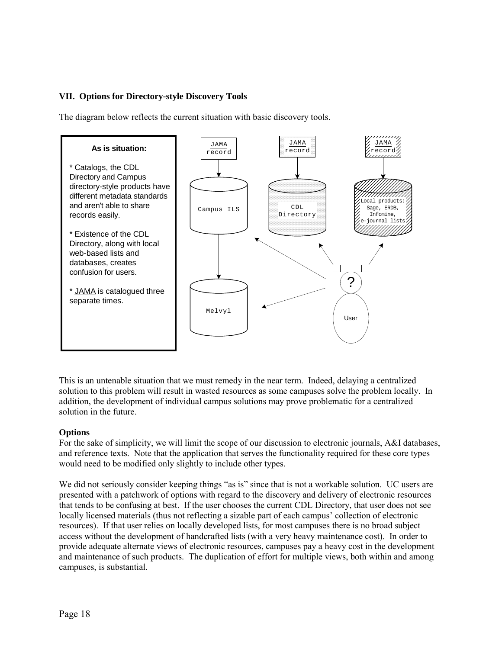# **VII. Options for Directory-style Discovery Tools**

The diagram below reflects the current situation with basic discovery tools.



This is an untenable situation that we must remedy in the near term. Indeed, delaying a centralized solution to this problem will result in wasted resources as some campuses solve the problem locally. In addition, the development of individual campus solutions may prove problematic for a centralized solution in the future.

## **Options**

For the sake of simplicity, we will limit the scope of our discussion to electronic journals, A&I databases, and reference texts. Note that the application that serves the functionality required for these core types would need to be modified only slightly to include other types.

We did not seriously consider keeping things "as is" since that is not a workable solution. UC users are presented with a patchwork of options with regard to the discovery and delivery of electronic resources that tends to be confusing at best. If the user chooses the current CDL Directory, that user does not see locally licensed materials (thus not reflecting a sizable part of each campus' collection of electronic resources). If that user relies on locally developed lists, for most campuses there is no broad subject access without the development of handcrafted lists (with a very heavy maintenance cost). In order to provide adequate alternate views of electronic resources, campuses pay a heavy cost in the development and maintenance of such products. The duplication of effort for multiple views, both within and among campuses, is substantial.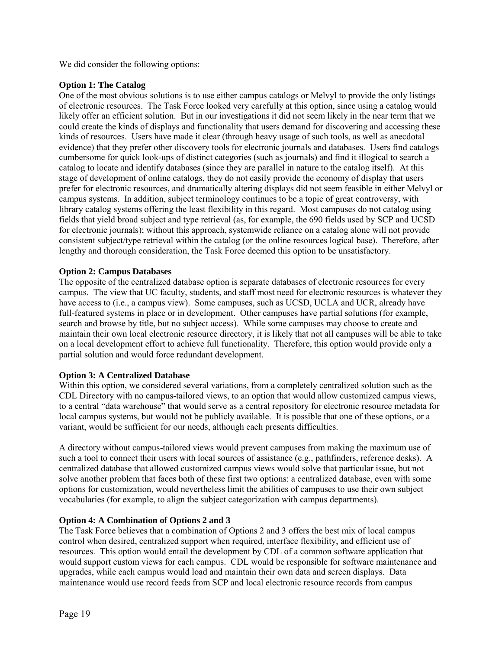We did consider the following options:

# **Option 1: The Catalog**

One of the most obvious solutions is to use either campus catalogs or Melvyl to provide the only listings of electronic resources. The Task Force looked very carefully at this option, since using a catalog would likely offer an efficient solution. But in our investigations it did not seem likely in the near term that we could create the kinds of displays and functionality that users demand for discovering and accessing these kinds of resources. Users have made it clear (through heavy usage of such tools, as well as anecdotal evidence) that they prefer other discovery tools for electronic journals and databases. Users find catalogs cumbersome for quick look-ups of distinct categories (such as journals) and find it illogical to search a catalog to locate and identify databases (since they are parallel in nature to the catalog itself). At this stage of development of online catalogs, they do not easily provide the economy of display that users prefer for electronic resources, and dramatically altering displays did not seem feasible in either Melvyl or campus systems. In addition, subject terminology continues to be a topic of great controversy, with library catalog systems offering the least flexibility in this regard. Most campuses do not catalog using fields that yield broad subject and type retrieval (as, for example, the 690 fields used by SCP and UCSD for electronic journals); without this approach, systemwide reliance on a catalog alone will not provide consistent subject/type retrieval within the catalog (or the online resources logical base). Therefore, after lengthy and thorough consideration, the Task Force deemed this option to be unsatisfactory.

## **Option 2: Campus Databases**

The opposite of the centralized database option is separate databases of electronic resources for every campus. The view that UC faculty, students, and staff most need for electronic resources is whatever they have access to (i.e., a campus view). Some campuses, such as UCSD, UCLA and UCR, already have full-featured systems in place or in development. Other campuses have partial solutions (for example, search and browse by title, but no subject access). While some campuses may choose to create and maintain their own local electronic resource directory, it is likely that not all campuses will be able to take on a local development effort to achieve full functionality. Therefore, this option would provide only a partial solution and would force redundant development.

# **Option 3: A Centralized Database**

Within this option, we considered several variations, from a completely centralized solution such as the CDL Directory with no campus-tailored views, to an option that would allow customized campus views, to a central "data warehouse" that would serve as a central repository for electronic resource metadata for local campus systems, but would not be publicly available. It is possible that one of these options, or a variant, would be sufficient for our needs, although each presents difficulties.

A directory without campus-tailored views would prevent campuses from making the maximum use of such a tool to connect their users with local sources of assistance (e.g., pathfinders, reference desks). A centralized database that allowed customized campus views would solve that particular issue, but not solve another problem that faces both of these first two options: a centralized database, even with some options for customization, would nevertheless limit the abilities of campuses to use their own subject vocabularies (for example, to align the subject categorization with campus departments).

# **Option 4: A Combination of Options 2 and 3**

The Task Force believes that a combination of Options 2 and 3 offers the best mix of local campus control when desired, centralized support when required, interface flexibility, and efficient use of resources. This option would entail the development by CDL of a common software application that would support custom views for each campus. CDL would be responsible for software maintenance and upgrades, while each campus would load and maintain their own data and screen displays. Data maintenance would use record feeds from SCP and local electronic resource records from campus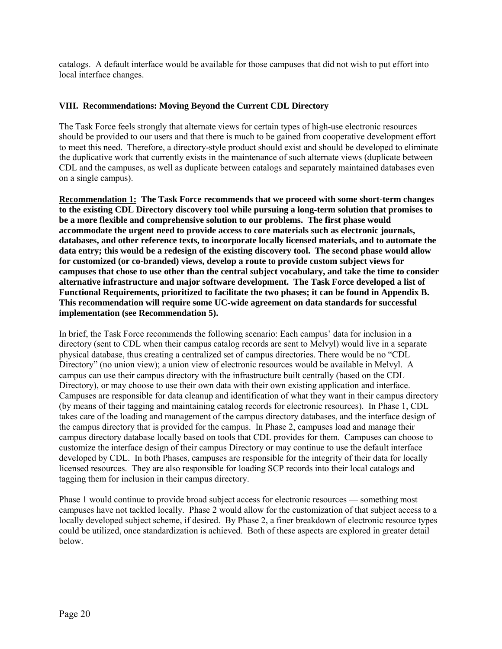catalogs. A default interface would be available for those campuses that did not wish to put effort into local interface changes.

## **VIII. Recommendations: Moving Beyond the Current CDL Directory**

The Task Force feels strongly that alternate views for certain types of high-use electronic resources should be provided to our users and that there is much to be gained from cooperative development effort to meet this need. Therefore, a directory-style product should exist and should be developed to eliminate the duplicative work that currently exists in the maintenance of such alternate views (duplicate between CDL and the campuses, as well as duplicate between catalogs and separately maintained databases even on a single campus).

**Recommendation 1: The Task Force recommends that we proceed with some short-term changes to the existing CDL Directory discovery tool while pursuing a long-term solution that promises to be a more flexible and comprehensive solution to our problems. The first phase would accommodate the urgent need to provide access to core materials such as electronic journals, databases, and other reference texts, to incorporate locally licensed materials, and to automate the data entry; this would be a redesign of the existing discovery tool. The second phase would allow for customized (or co-branded) views, develop a route to provide custom subject views for campuses that chose to use other than the central subject vocabulary, and take the time to consider alternative infrastructure and major software development. The Task Force developed a list of Functional Requirements, prioritized to facilitate the two phases; it can be found in Appendix B. This recommendation will require some UC-wide agreement on data standards for successful implementation (see Recommendation 5).**

In brief, the Task Force recommends the following scenario: Each campus' data for inclusion in a directory (sent to CDL when their campus catalog records are sent to Melvyl) would live in a separate physical database, thus creating a centralized set of campus directories. There would be no "CDL Directory" (no union view); a union view of electronic resources would be available in Melvyl. A campus can use their campus directory with the infrastructure built centrally (based on the CDL Directory), or may choose to use their own data with their own existing application and interface. Campuses are responsible for data cleanup and identification of what they want in their campus directory (by means of their tagging and maintaining catalog records for electronic resources). In Phase 1, CDL takes care of the loading and management of the campus directory databases, and the interface design of the campus directory that is provided for the campus. In Phase 2, campuses load and manage their campus directory database locally based on tools that CDL provides for them. Campuses can choose to customize the interface design of their campus Directory or may continue to use the default interface developed by CDL. In both Phases, campuses are responsible for the integrity of their data for locally licensed resources. They are also responsible for loading SCP records into their local catalogs and tagging them for inclusion in their campus directory.

Phase 1 would continue to provide broad subject access for electronic resources — something most campuses have not tackled locally. Phase 2 would allow for the customization of that subject access to a locally developed subject scheme, if desired. By Phase 2, a finer breakdown of electronic resource types could be utilized, once standardization is achieved. Both of these aspects are explored in greater detail below.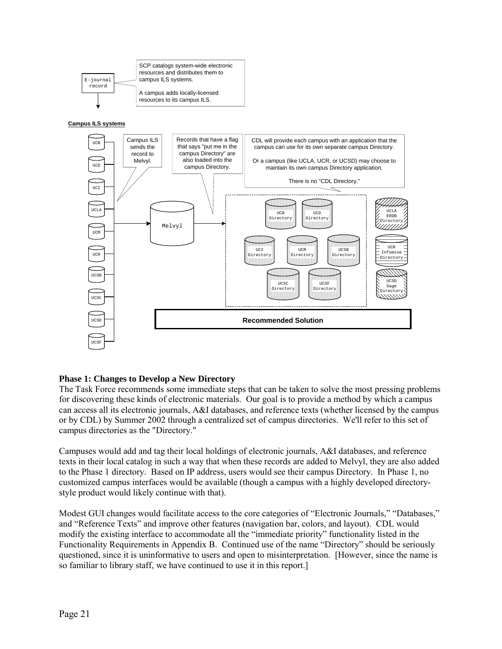

**Campus ILS systems**



# **Phase 1: Changes to Develop a New Directory**

The Task Force recommends some immediate steps that can be taken to solve the most pressing problems for discovering these kinds of electronic materials. Our goal is to provide a method by which a campus can access all its electronic journals, A&I databases, and reference texts (whether licensed by the campus or by CDL) by Summer 2002 through a centralized set of campus directories. We'll refer to this set of campus directories as the "Directory."

Campuses would add and tag their local holdings of electronic journals, A&I databases, and reference texts in their local catalog in such a way that when these records are added to Melvyl, they are also added to the Phase 1 directory. Based on IP address, users would see their campus Directory. In Phase 1, no customized campus interfaces would be available (though a campus with a highly developed directorystyle product would likely continue with that).

Modest GUI changes would facilitate access to the core categories of "Electronic Journals," "Databases," and "Reference Texts" and improve other features (navigation bar, colors, and layout). CDL would modify the existing interface to accommodate all the "immediate priority" functionality listed in the Functionality Requirements in Appendix B. Continued use of the name "Directory" should be seriously questioned, since it is uninformative to users and open to misinterpretation. [However, since the name is so familiar to library staff, we have continued to use it in this report.]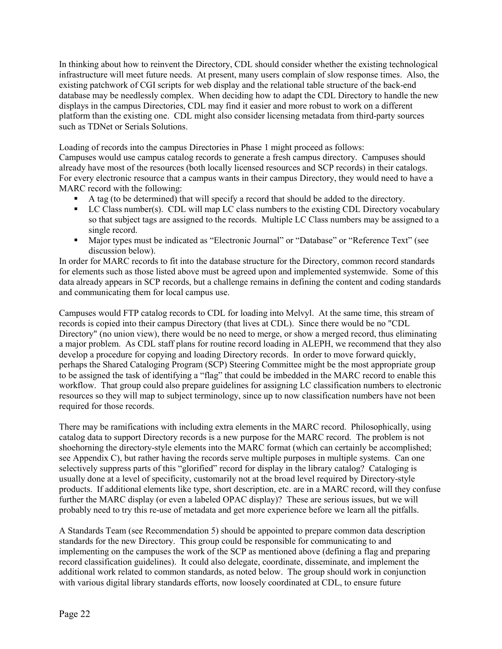In thinking about how to reinvent the Directory, CDL should consider whether the existing technological infrastructure will meet future needs. At present, many users complain of slow response times. Also, the existing patchwork of CGI scripts for web display and the relational table structure of the back-end database may be needlessly complex. When deciding how to adapt the CDL Directory to handle the new displays in the campus Directories, CDL may find it easier and more robust to work on a different platform than the existing one. CDL might also consider licensing metadata from third-party sources such as TDNet or Serials Solutions.

Loading of records into the campus Directories in Phase 1 might proceed as follows:

Campuses would use campus catalog records to generate a fresh campus directory. Campuses should already have most of the resources (both locally licensed resources and SCP records) in their catalogs. For every electronic resource that a campus wants in their campus Directory, they would need to have a MARC record with the following:

- ! A tag (to be determined) that will specify a record that should be added to the directory.
- ! LC Class number(s). CDL will map LC class numbers to the existing CDL Directory vocabulary so that subject tags are assigned to the records. Multiple LC Class numbers may be assigned to a single record.
- Major types must be indicated as "Electronic Journal" or "Database" or "Reference Text" (see discussion below).

In order for MARC records to fit into the database structure for the Directory, common record standards for elements such as those listed above must be agreed upon and implemented systemwide. Some of this data already appears in SCP records, but a challenge remains in defining the content and coding standards and communicating them for local campus use.

Campuses would FTP catalog records to CDL for loading into Melvyl. At the same time, this stream of records is copied into their campus Directory (that lives at CDL). Since there would be no "CDL Directory" (no union view), there would be no need to merge, or show a merged record, thus eliminating a major problem. As CDL staff plans for routine record loading in ALEPH, we recommend that they also develop a procedure for copying and loading Directory records. In order to move forward quickly, perhaps the Shared Cataloging Program (SCP) Steering Committee might be the most appropriate group to be assigned the task of identifying a "flag" that could be imbedded in the MARC record to enable this workflow. That group could also prepare guidelines for assigning LC classification numbers to electronic resources so they will map to subject terminology, since up to now classification numbers have not been required for those records.

There may be ramifications with including extra elements in the MARC record. Philosophically, using catalog data to support Directory records is a new purpose for the MARC record. The problem is not shoehorning the directory-style elements into the MARC format (which can certainly be accomplished; see Appendix C), but rather having the records serve multiple purposes in multiple systems. Can one selectively suppress parts of this "glorified" record for display in the library catalog? Cataloging is usually done at a level of specificity, customarily not at the broad level required by Directory-style products. If additional elements like type, short description, etc. are in a MARC record, will they confuse further the MARC display (or even a labeled OPAC display)? These are serious issues, but we will probably need to try this re-use of metadata and get more experience before we learn all the pitfalls.

A Standards Team (see Recommendation 5) should be appointed to prepare common data description standards for the new Directory. This group could be responsible for communicating to and implementing on the campuses the work of the SCP as mentioned above (defining a flag and preparing record classification guidelines). It could also delegate, coordinate, disseminate, and implement the additional work related to common standards, as noted below. The group should work in conjunction with various digital library standards efforts, now loosely coordinated at CDL, to ensure future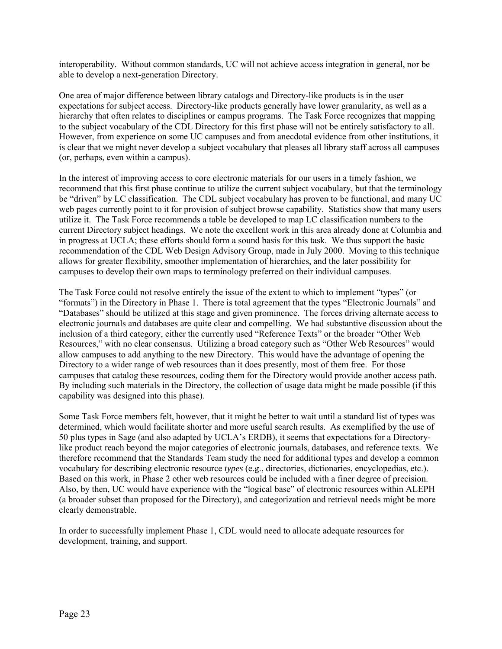interoperability. Without common standards, UC will not achieve access integration in general, nor be able to develop a next-generation Directory.

One area of major difference between library catalogs and Directory-like products is in the user expectations for subject access. Directory-like products generally have lower granularity, as well as a hierarchy that often relates to disciplines or campus programs. The Task Force recognizes that mapping to the subject vocabulary of the CDL Directory for this first phase will not be entirely satisfactory to all. However, from experience on some UC campuses and from anecdotal evidence from other institutions, it is clear that we might never develop a subject vocabulary that pleases all library staff across all campuses (or, perhaps, even within a campus).

In the interest of improving access to core electronic materials for our users in a timely fashion, we recommend that this first phase continue to utilize the current subject vocabulary, but that the terminology be "driven" by LC classification. The CDL subject vocabulary has proven to be functional, and many UC web pages currently point to it for provision of subject browse capability. Statistics show that many users utilize it. The Task Force recommends a table be developed to map LC classification numbers to the current Directory subject headings. We note the excellent work in this area already done at Columbia and in progress at UCLA; these efforts should form a sound basis for this task. We thus support the basic recommendation of the CDL Web Design Advisory Group, made in July 2000. Moving to this technique allows for greater flexibility, smoother implementation of hierarchies, and the later possibility for campuses to develop their own maps to terminology preferred on their individual campuses.

The Task Force could not resolve entirely the issue of the extent to which to implement "types" (or "formats") in the Directory in Phase 1. There is total agreement that the types "Electronic Journals" and ìDatabasesî should be utilized at this stage and given prominence. The forces driving alternate access to electronic journals and databases are quite clear and compelling. We had substantive discussion about the inclusion of a third category, either the currently used "Reference Texts" or the broader "Other Web Resources," with no clear consensus. Utilizing a broad category such as "Other Web Resources" would allow campuses to add anything to the new Directory. This would have the advantage of opening the Directory to a wider range of web resources than it does presently, most of them free. For those campuses that catalog these resources, coding them for the Directory would provide another access path. By including such materials in the Directory, the collection of usage data might be made possible (if this capability was designed into this phase).

Some Task Force members felt, however, that it might be better to wait until a standard list of types was determined, which would facilitate shorter and more useful search results. As exemplified by the use of 50 plus types in Sage (and also adapted by UCLA's ERDB), it seems that expectations for a Directorylike product reach beyond the major categories of electronic journals, databases, and reference texts. We therefore recommend that the Standards Team study the need for additional types and develop a common vocabulary for describing electronic resource *types* (e.g., directories, dictionaries, encyclopedias, etc.). Based on this work, in Phase 2 other web resources could be included with a finer degree of precision. Also, by then, UC would have experience with the "logical base" of electronic resources within ALEPH (a broader subset than proposed for the Directory), and categorization and retrieval needs might be more clearly demonstrable.

In order to successfully implement Phase 1, CDL would need to allocate adequate resources for development, training, and support.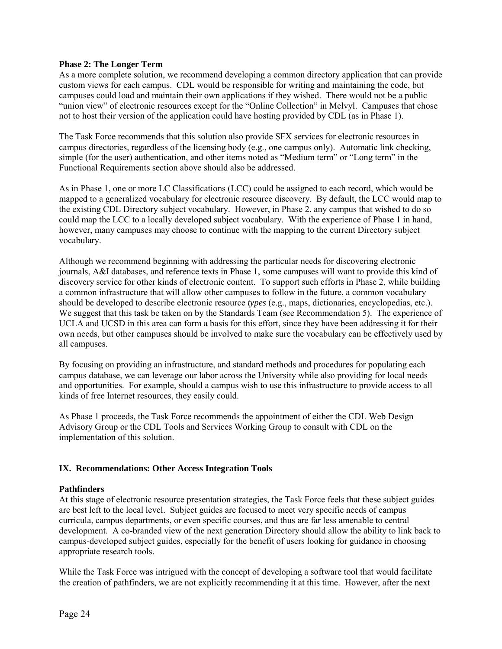## **Phase 2: The Longer Term**

As a more complete solution, we recommend developing a common directory application that can provide custom views for each campus. CDL would be responsible for writing and maintaining the code, but campuses could load and maintain their own applications if they wished. There would not be a public "union view" of electronic resources except for the "Online Collection" in Melvyl. Campuses that chose not to host their version of the application could have hosting provided by CDL (as in Phase 1).

The Task Force recommends that this solution also provide SFX services for electronic resources in campus directories, regardless of the licensing body (e.g., one campus only). Automatic link checking, simple (for the user) authentication, and other items noted as "Medium term" or "Long term" in the Functional Requirements section above should also be addressed.

As in Phase 1, one or more LC Classifications (LCC) could be assigned to each record, which would be mapped to a generalized vocabulary for electronic resource discovery. By default, the LCC would map to the existing CDL Directory subject vocabulary. However, in Phase 2, any campus that wished to do so could map the LCC to a locally developed subject vocabulary. With the experience of Phase 1 in hand, however, many campuses may choose to continue with the mapping to the current Directory subject vocabulary.

Although we recommend beginning with addressing the particular needs for discovering electronic journals, A&I databases, and reference texts in Phase 1, some campuses will want to provide this kind of discovery service for other kinds of electronic content. To support such efforts in Phase 2, while building a common infrastructure that will allow other campuses to follow in the future, a common vocabulary should be developed to describe electronic resource *types* (e.g., maps, dictionaries, encyclopedias, etc.). We suggest that this task be taken on by the Standards Team (see Recommendation 5). The experience of UCLA and UCSD in this area can form a basis for this effort, since they have been addressing it for their own needs, but other campuses should be involved to make sure the vocabulary can be effectively used by all campuses.

By focusing on providing an infrastructure, and standard methods and procedures for populating each campus database, we can leverage our labor across the University while also providing for local needs and opportunities. For example, should a campus wish to use this infrastructure to provide access to all kinds of free Internet resources, they easily could.

As Phase 1 proceeds, the Task Force recommends the appointment of either the CDL Web Design Advisory Group or the CDL Tools and Services Working Group to consult with CDL on the implementation of this solution.

## **IX. Recommendations: Other Access Integration Tools**

#### **Pathfinders**

At this stage of electronic resource presentation strategies, the Task Force feels that these subject guides are best left to the local level. Subject guides are focused to meet very specific needs of campus curricula, campus departments, or even specific courses, and thus are far less amenable to central development. A co-branded view of the next generation Directory should allow the ability to link back to campus-developed subject guides, especially for the benefit of users looking for guidance in choosing appropriate research tools.

While the Task Force was intrigued with the concept of developing a software tool that would facilitate the creation of pathfinders, we are not explicitly recommending it at this time. However, after the next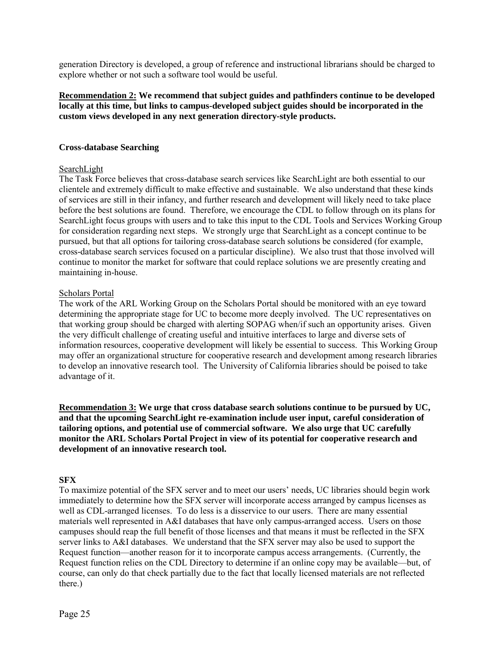generation Directory is developed, a group of reference and instructional librarians should be charged to explore whether or not such a software tool would be useful.

## **Recommendation 2: We recommend that subject guides and pathfinders continue to be developed locally at this time, but links to campus-developed subject guides should be incorporated in the custom views developed in any next generation directory-style products.**

## **Cross-database Searching**

## SearchLight

The Task Force believes that cross-database search services like SearchLight are both essential to our clientele and extremely difficult to make effective and sustainable. We also understand that these kinds of services are still in their infancy, and further research and development will likely need to take place before the best solutions are found. Therefore, we encourage the CDL to follow through on its plans for SearchLight focus groups with users and to take this input to the CDL Tools and Services Working Group for consideration regarding next steps. We strongly urge that SearchLight as a concept continue to be pursued, but that all options for tailoring cross-database search solutions be considered (for example, cross-database search services focused on a particular discipline). We also trust that those involved will continue to monitor the market for software that could replace solutions we are presently creating and maintaining in-house.

#### Scholars Portal

The work of the ARL Working Group on the Scholars Portal should be monitored with an eye toward determining the appropriate stage for UC to become more deeply involved. The UC representatives on that working group should be charged with alerting SOPAG when/if such an opportunity arises. Given the very difficult challenge of creating useful and intuitive interfaces to large and diverse sets of information resources, cooperative development will likely be essential to success. This Working Group may offer an organizational structure for cooperative research and development among research libraries to develop an innovative research tool. The University of California libraries should be poised to take advantage of it.

**Recommendation 3: We urge that cross database search solutions continue to be pursued by UC, and that the upcoming SearchLight re-examination include user input, careful consideration of tailoring options, and potential use of commercial software. We also urge that UC carefully monitor the ARL Scholars Portal Project in view of its potential for cooperative research and development of an innovative research tool.**

## **SFX**

To maximize potential of the SFX server and to meet our users' needs, UC libraries should begin work immediately to determine how the SFX server will incorporate access arranged by campus licenses as well as CDL-arranged licenses. To do less is a disservice to our users. There are many essential materials well represented in A&I databases that have only campus-arranged access. Users on those campuses should reap the full benefit of those licenses and that means it must be reflected in the SFX server links to A&I databases. We understand that the SFX server may also be used to support the Request function—another reason for it to incorporate campus access arrangements. (Currently, the Request function relies on the CDL Directory to determine if an online copy may be available—but, of course, can only do that check partially due to the fact that locally licensed materials are not reflected there.)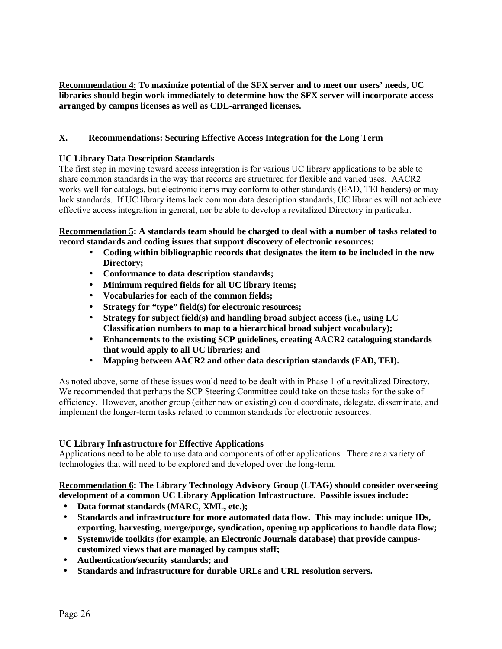**Recommendation 4: To maximize potential of the SFX server and to meet our users' needs, UC libraries should begin work immediately to determine how the SFX server will incorporate access arranged by campus licenses as well as CDL-arranged licenses.**

# **X. Recommendations: Securing Effective Access Integration for the Long Term**

#### **UC Library Data Description Standards**

The first step in moving toward access integration is for various UC library applications to be able to share common standards in the way that records are structured for flexible and varied uses. AACR2 works well for catalogs, but electronic items may conform to other standards (EAD, TEI headers) or may lack standards. If UC library items lack common data description standards, UC libraries will not achieve effective access integration in general, nor be able to develop a revitalized Directory in particular.

## **Recommendation 5: A standards team should be charged to deal with a number of tasks related to record standards and coding issues that support discovery of electronic resources:**

- **Coding within bibliographic records that designates the item to be included in the new Directory;**
- **Conformance to data description standards;**
- **Minimum required fields for all UC library items;**
- **Vocabularies for each of the common fields;**
- **Strategy for "type" field(s) for electronic resources;**
- **Strategy for subject field(s) and handling broad subject access (i.e., using LC Classification numbers to map to a hierarchical broad subject vocabulary);**
- **Enhancements to the existing SCP guidelines, creating AACR2 cataloguing standards that would apply to all UC libraries; and**
- **Mapping between AACR2 and other data description standards (EAD, TEI).**

As noted above, some of these issues would need to be dealt with in Phase 1 of a revitalized Directory. We recommended that perhaps the SCP Steering Committee could take on those tasks for the sake of efficiency. However, another group (either new or existing) could coordinate, delegate, disseminate, and implement the longer-term tasks related to common standards for electronic resources.

## **UC Library Infrastructure for Effective Applications**

Applications need to be able to use data and components of other applications. There are a variety of technologies that will need to be explored and developed over the long-term.

**Recommendation 6: The Library Technology Advisory Group (LTAG) should consider overseeing development of a common UC Library Application Infrastructure. Possible issues include:**

- **Data format standards (MARC, XML, etc.);**
- **Standards and infrastructure for more automated data flow. This may include: unique IDs, exporting, harvesting, merge/purge, syndication, opening up applications to handle data flow;**
- **Systemwide toolkits (for example, an Electronic Journals database) that provide campuscustomized views that are managed by campus staff;**
- **Authentication/security standards; and**
- **Standards and infrastructure for durable URLs and URL resolution servers.**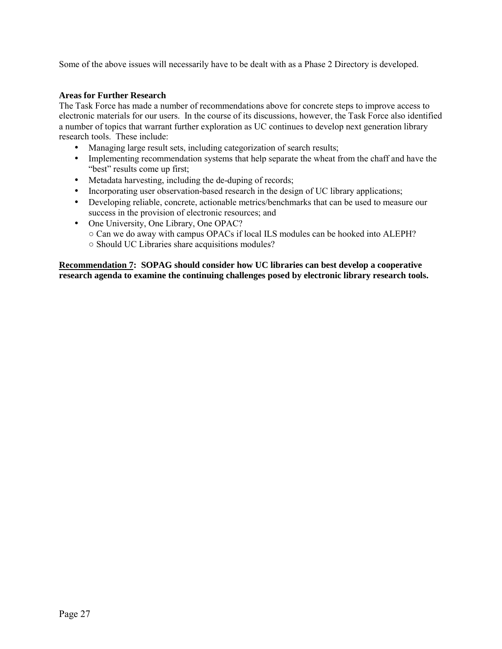Some of the above issues will necessarily have to be dealt with as a Phase 2 Directory is developed.

## **Areas for Further Research**

The Task Force has made a number of recommendations above for concrete steps to improve access to electronic materials for our users. In the course of its discussions, however, the Task Force also identified a number of topics that warrant further exploration as UC continues to develop next generation library research tools. These include:

- Managing large result sets, including categorization of search results;
- Implementing recommendation systems that help separate the wheat from the chaff and have the "best" results come up first;
- Metadata harvesting, including the de-duping of records;
- Incorporating user observation-based research in the design of UC library applications;
- Developing reliable, concrete, actionable metrics/benchmarks that can be used to measure our success in the provision of electronic resources; and
- One University, One Library, One OPAC?
	- Can we do away with campus OPACs if local ILS modules can be hooked into ALEPH? ○ Should UC Libraries share acquisitions modules?

**Recommendation 7: SOPAG should consider how UC libraries can best develop a cooperative research agenda to examine the continuing challenges posed by electronic library research tools.**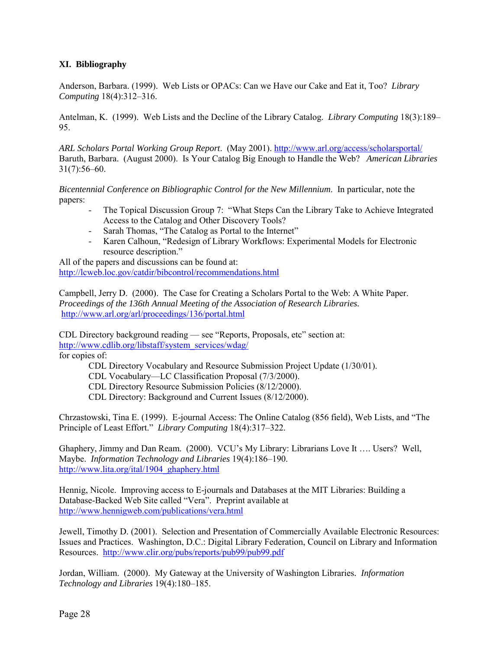## **XI. Bibliography**

Anderson, Barbara. (1999). Web Lists or OPACs: Can we Have our Cake and Eat it, Too? *Library Computing* 18(4):312–316.

Antelman, K. (1999). Web Lists and the Decline of the Library Catalog. *Library Computing* 18(3):189– 95.

*ARL Scholars Portal Working Group Report*. (May 2001). http://www.arl.org/access/scholarsportal/ Baruth, Barbara. (August 2000). Is Your Catalog Big Enough to Handle the Web? *American Libraries*  $31(7):56-60.$ 

*Bicentennial Conference on Bibliographic Control for the New Millennium*. In particular, note the papers:

- The Topical Discussion Group 7: "What Steps Can the Library Take to Achieve Integrated Access to the Catalog and Other Discovery Tools?
- Sarah Thomas, "The Catalog as Portal to the Internet"
- Karen Calhoun, "Redesign of Library Workflows: Experimental Models for Electronic resource description."

All of the papers and discussions can be found at: http://lcweb.loc.gov/catdir/bibcontrol/recommendations.html

Campbell, Jerry D. (2000). The Case for Creating a Scholars Portal to the Web: A White Paper. *Proceedings of the 136th Annual Meeting of the Association of Research Libraries.* http://www.arl.org/arl/proceedings/136/portal.html

CDL Directory background reading — see "Reports, Proposals, etc" section at: http://www.cdlib.org/libstaff/system\_services/wdag/

for copies of:

CDL Directory Vocabulary and Resource Submission Project Update (1/30/01).

CDL Vocabulary—LC Classification Proposal (7/3/2000).

CDL Directory Resource Submission Policies (8/12/2000).

CDL Directory: Background and Current Issues (8/12/2000).

Chrzastowski, Tina E. (1999). E-journal Access: The Online Catalog (856 field), Web Lists, and "The Principle of Least Effort." *Library Computing* 18(4):317–322.

Ghaphery, Jimmy and Dan Ream. (2000). VCU's My Library: Librarians Love It .... Users? Well, Maybe. *Information Technology and Libraries* 19(4):186-190. http://www.lita.org/ital/1904\_ghaphery.html

Hennig, Nicole. Improving access to E-journals and Databases at the MIT Libraries: Building a Database-Backed Web Site called "Vera". Preprint available at http://www.hennigweb.com/publications/vera.html

Jewell, Timothy D. (2001). Selection and Presentation of Commercially Available Electronic Resources: Issues and Practices. Washington, D.C.: Digital Library Federation, Council on Library and Information Resources. http://www.clir.org/pubs/reports/pub99/pub99.pdf

Jordan, William. (2000). My Gateway at the University of Washington Libraries*. Information Technology and Libraries* 19(4):180–185.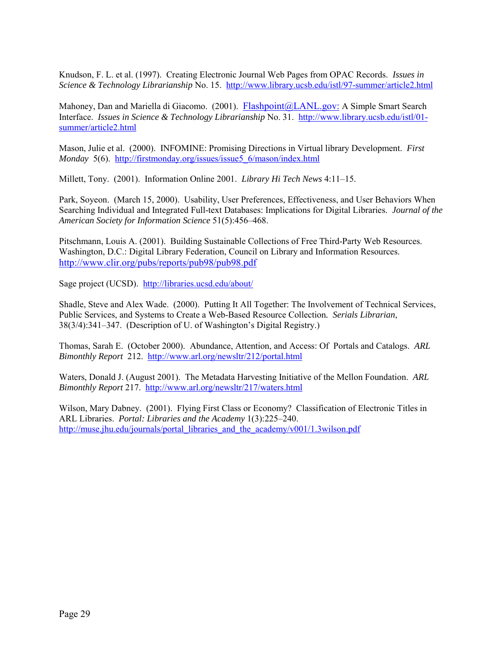Knudson, F. L. et al. (1997). Creating Electronic Journal Web Pages from OPAC Records. *Issues in Science & Technology Librarianship* No. 15. http://www.library.ucsb.edu/istl/97-summer/article2.html

Mahoney, Dan and Mariella di Giacomo. (2001). Flashpoint@LANL.gov: A Simple Smart Search Interface. *Issues in Science & Technology Librarianship* No. 31. http://www.library.ucsb.edu/istl/01 summer/article2.html

Mason, Julie et al. (2000). INFOMINE: Promising Directions in Virtual library Development. *First Monday* 5(6). http://firstmonday.org/issues/issue5\_6/mason/index.html

Millett, Tony. (2001). Information Online 2001. *Library Hi Tech News* 4:11–15.

Park, Soyeon. (March 15, 2000). Usability, User Preferences, Effectiveness, and User Behaviors When Searching Individual and Integrated Full-text Databases: Implications for Digital Libraries. *Journal of the* American Society for Information Science 51(5):456-468.

Pitschmann, Louis A. (2001). Building Sustainable Collections of Free Third-Party Web Resources. Washington, D.C.: Digital Library Federation, Council on Library and Information Resources. http://www.clir.org/pubs/reports/pub98/pub98.pdf

Sage project (UCSD). http://libraries.ucsd.edu/about/

Shadle, Steve and Alex Wade. (2000). Putting It All Together: The Involvement of Technical Services, Public Services, and Systems to Create a Web-Based Resource Collection*. Serials Librarian*,  $38(3/4)$ : 341–347. (Description of U. of Washington's Digital Registry.)

Thomas, Sarah E. (October 2000). Abundance, Attention, and Access: Of Portals and Catalogs. *ARL Bimonthly Report* 212. http://www.arl.org/newsltr/212/portal.html

Waters, Donald J. (August 2001). The Metadata Harvesting Initiative of the Mellon Foundation. *ARL Bimonthly Report* 217. http://www.arl.org/newsltr/217/waters.html

Wilson, Mary Dabney. (2001). Flying First Class or Economy? Classification of Electronic Titles in ARL Libraries. *Portal: Libraries and the Academy* 1(3):225-240. http://muse.jhu.edu/journals/portal\_libraries\_and\_the\_academy/v001/1.3wilson.pdf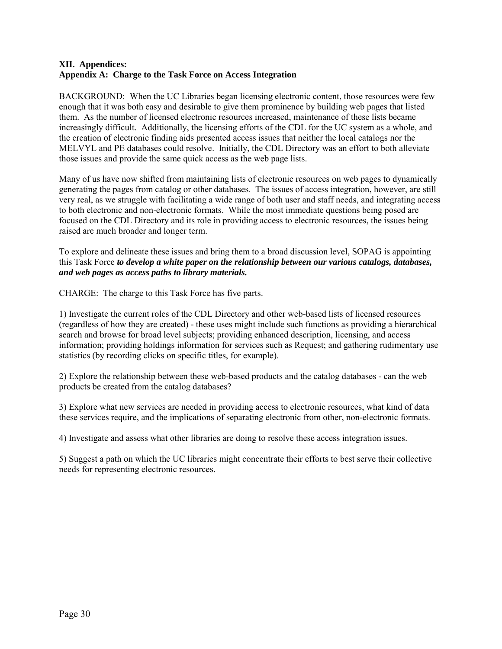## **XII. Appendices: Appendix A: Charge to the Task Force on Access Integration**

BACKGROUND: When the UC Libraries began licensing electronic content, those resources were few enough that it was both easy and desirable to give them prominence by building web pages that listed them. As the number of licensed electronic resources increased, maintenance of these lists became increasingly difficult. Additionally, the licensing efforts of the CDL for the UC system as a whole, and the creation of electronic finding aids presented access issues that neither the local catalogs nor the MELVYL and PE databases could resolve. Initially, the CDL Directory was an effort to both alleviate those issues and provide the same quick access as the web page lists.

Many of us have now shifted from maintaining lists of electronic resources on web pages to dynamically generating the pages from catalog or other databases. The issues of access integration, however, are still very real, as we struggle with facilitating a wide range of both user and staff needs, and integrating access to both electronic and non-electronic formats. While the most immediate questions being posed are focused on the CDL Directory and its role in providing access to electronic resources, the issues being raised are much broader and longer term.

To explore and delineate these issues and bring them to a broad discussion level, SOPAG is appointing this Task Force *to develop a white paper on the relationship between our various catalogs, databases, and web pages as access paths to library materials.*

CHARGE: The charge to this Task Force has five parts.

1) Investigate the current roles of the CDL Directory and other web-based lists of licensed resources (regardless of how they are created) - these uses might include such functions as providing a hierarchical search and browse for broad level subjects; providing enhanced description, licensing, and access information; providing holdings information for services such as Request; and gathering rudimentary use statistics (by recording clicks on specific titles, for example).

2) Explore the relationship between these web-based products and the catalog databases - can the web products be created from the catalog databases?

3) Explore what new services are needed in providing access to electronic resources, what kind of data these services require, and the implications of separating electronic from other, non-electronic formats.

4) Investigate and assess what other libraries are doing to resolve these access integration issues.

5) Suggest a path on which the UC libraries might concentrate their efforts to best serve their collective needs for representing electronic resources.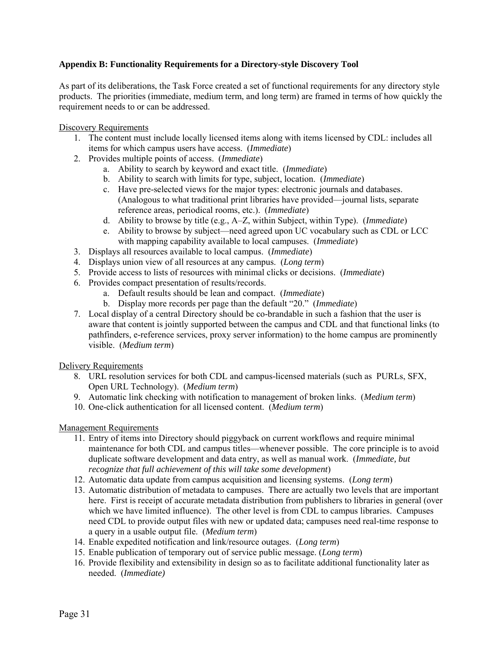## **Appendix B: Functionality Requirements for a Directory-style Discovery Tool**

As part of its deliberations, the Task Force created a set of functional requirements for any directory style products. The priorities (immediate, medium term, and long term) are framed in terms of how quickly the requirement needs to or can be addressed.

#### Discovery Requirements

- 1. The content must include locally licensed items along with items licensed by CDL: includes all items for which campus users have access. (*Immediate*)
- 2. Provides multiple points of access. (*Immediate*)
	- a. Ability to search by keyword and exact title. (*Immediate*)
	- b. Ability to search with limits for type, subject, location. (*Immediate*)
	- c. Have pre-selected views for the major types: electronic journals and databases.  $(Analogous to what traditional print libraries have provided—journal lists, separate$ reference areas, periodical rooms, etc.). (*Immediate*)
	- d. Ability to browse by title (e.g., A–Z, within Subject, within Type). (*Immediate*)
	- e. Ability to browse by subject—need agreed upon UC vocabulary such as CDL or LCC with mapping capability available to local campuses. (*Immediate*)
- 3. Displays all resources available to local campus. (*Immediate*)
- 4. Displays union view of all resources at any campus. (*Long term*)
- 5. Provide access to lists of resources with minimal clicks or decisions. (*Immediate*)
- 6. Provides compact presentation of results/records.
	- a. Default results should be lean and compact. (*Immediate*)
	- b. Display more records per page than the default "20." *(Immediate)*
- 7. Local display of a central Directory should be co-brandable in such a fashion that the user is aware that content is jointly supported between the campus and CDL and that functional links (to pathfinders, e-reference services, proxy server information) to the home campus are prominently visible. (*Medium term*)

## Delivery Requirements

- 8. URL resolution services for both CDL and campus-licensed materials (such as PURLs, SFX, Open URL Technology). (*Medium term*)
- 9. Automatic link checking with notification to management of broken links. (*Medium term*)
- 10. One-click authentication for all licensed content. (*Medium term*)

# Management Requirements

- 11. Entry of items into Directory should piggyback on current workflows and require minimal maintenance for both CDL and campus titles—whenever possible. The core principle is to avoid duplicate software development and data entry, as well as manual work. (*Immediate, but recognize that full achievement of this will take some development*)
- 12. Automatic data update from campus acquisition and licensing systems. (*Long term*)
- 13. Automatic distribution of metadata to campuses. There are actually two levels that are important here. First is receipt of accurate metadata distribution from publishers to libraries in general (over which we have limited influence). The other level is from CDL to campus libraries. Campuses need CDL to provide output files with new or updated data; campuses need real-time response to a query in a usable output file. (*Medium term*)
- 14. Enable expedited notification and link/resource outages. (*Long term*)
- 15. Enable publication of temporary out of service public message. (*Long term*)
- 16. Provide flexibility and extensibility in design so as to facilitate additional functionality later as needed. (*Immediate)*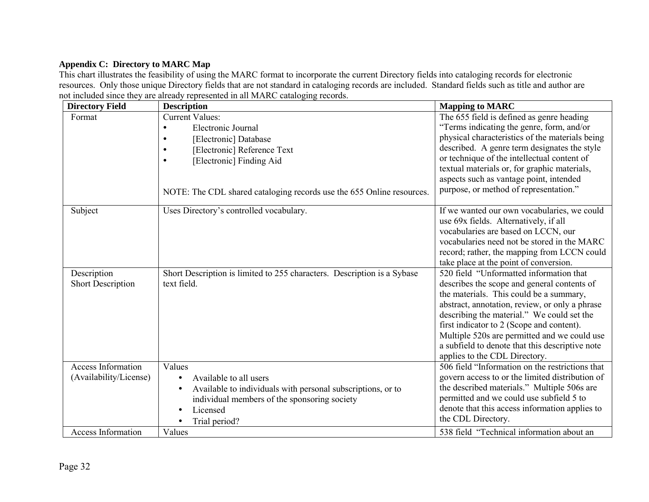# **Appendix C: Directory to MARC Map**

This chart illustrates the feasibility of using the MARC format to incorporate the current Directory fields into cataloging records for electronic resources. Only those unique Directory fields that are not standard in cataloging records are included. Standard fields such as title and author are not included since they are already represented in all MARC cataloging records.

| <b>Directory Field</b>    | <b>Description</b>                                                      | <b>Mapping to MARC</b>                          |
|---------------------------|-------------------------------------------------------------------------|-------------------------------------------------|
| Format                    | <b>Current Values:</b>                                                  | The 655 field is defined as genre heading       |
|                           | Electronic Journal                                                      | "Terms indicating the genre, form, and/or       |
|                           | [Electronic] Database                                                   | physical characteristics of the materials being |
|                           | [Electronic] Reference Text                                             | described. A genre term designates the style    |
|                           | [Electronic] Finding Aid                                                | or technique of the intellectual content of     |
|                           |                                                                         | textual materials or, for graphic materials,    |
|                           |                                                                         | aspects such as vantage point, intended         |
|                           | NOTE: The CDL shared cataloging records use the 655 Online resources.   | purpose, or method of representation."          |
| Subject                   | Uses Directory's controlled vocabulary.                                 | If we wanted our own vocabularies, we could     |
|                           |                                                                         | use 69x fields. Alternatively, if all           |
|                           |                                                                         | vocabularies are based on LCCN, our             |
|                           |                                                                         | vocabularies need not be stored in the MARC     |
|                           |                                                                         | record; rather, the mapping from LCCN could     |
|                           |                                                                         | take place at the point of conversion.          |
| Description               | Short Description is limited to 255 characters. Description is a Sybase | 520 field "Unformatted information that         |
| <b>Short Description</b>  | text field.                                                             | describes the scope and general contents of     |
|                           |                                                                         | the materials. This could be a summary,         |
|                           |                                                                         | abstract, annotation, review, or only a phrase  |
|                           |                                                                         | describing the material." We could set the      |
|                           |                                                                         | first indicator to 2 (Scope and content).       |
|                           |                                                                         | Multiple 520s are permitted and we could use    |
|                           |                                                                         | a subfield to denote that this descriptive note |
|                           |                                                                         | applies to the CDL Directory.                   |
| <b>Access Information</b> | Values                                                                  | 506 field "Information on the restrictions that |
| (Availability/License)    | Available to all users<br>$\bullet$                                     | govern access to or the limited distribution of |
|                           | Available to individuals with personal subscriptions, or to             | the described materials." Multiple 506s are     |
|                           | individual members of the sponsoring society                            | permitted and we could use subfield 5 to        |
|                           | Licensed                                                                | denote that this access information applies to  |
|                           | Trial period?                                                           | the CDL Directory.                              |
| <b>Access Information</b> | Values                                                                  | 538 field "Technical information about an       |